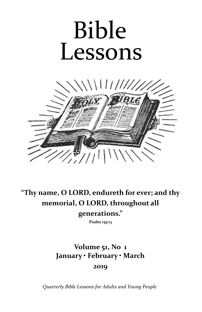# Bible Lessons



# **"Thy name, O LORD, endureth for ever; and thy memorial, O LORD, throughout all generations."**

**Psalm 135:13**

# **Volume 51, No 1 January • February • March 2019**

*Quarterly Bible Lessons for Adults and Young People*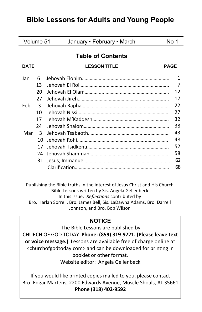# **Bible Lessons for Adults and Young People**

| Volume 51                |    | January • February • March | No 1        |
|--------------------------|----|----------------------------|-------------|
| <b>Table of Contents</b> |    |                            |             |
| <b>DATE</b>              |    | <b>LESSON TITLE</b>        | <b>PAGE</b> |
| Jan                      | 6  |                            | 1           |
|                          | 13 |                            | 7           |
|                          | 20 |                            | 12          |
|                          | 27 |                            | 17          |
| Feb                      | 3  |                            | 22          |
|                          | 10 |                            | 27          |
|                          | 17 |                            | 32          |
|                          | 24 |                            | 38          |
| Mar                      | 3  |                            | 43          |
|                          | 10 |                            | 48          |
|                          | 17 |                            | 52          |
|                          | 24 |                            | 58          |
|                          | 31 |                            | 62          |
|                          |    |                            | 68          |

Publishing the Bible truths in the interest of Jesus Christ and His Church Bible Lessons written by Sis. Angela Gellenbeck In this issue: *Reflections* contributed by Bro. Harlan Sorrell, Bro. James Bell, Sis. LaDawna Adams, Bro. Darrell Johnson, and Bro. Bob Wilson

# **NOTICE**

The Bible Lessons are published by CHURCH OF GOD TODAY **Phone: (859) 319-9721. (Please leave text or voice message.)** Lessons are available free of charge online at <churchofgodtoday.com> and can be downloaded for printing in booklet or other format. Website editor: Angela Gellenbeck

If you would like printed copies mailed to you, please contact Bro. Edgar Martens, 2200 Edwards Avenue, Muscle Shoals, AL 35661 **Phone (318) 402-9592**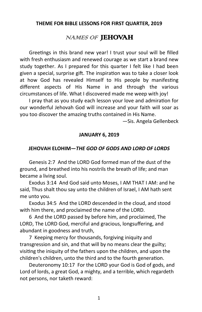#### **THEME FOR BIBLE LESSONS FOR FIRST QUARTER, 2019**

# NAMES OF JEHOVAH

Greetings in this brand new year! I trust your soul will be filled with fresh enthusiasm and renewed courage as we start a brand new study together. As I prepared for this quarter I felt like I had been given a special, surprise gift. The inspiration was to take a closer look at how God has revealed Himself to His people by manifesting different aspects of His Name in and through the various circumstances of life. What I discovered made me weep with joy!

I pray that as you study each lesson your love and admiration for our wonderful Jehovah God will increase and your faith will soar as you too discover the amazing truths contained in His Name.

—Sis. Angela Gellenbeck

#### **JANUARY 6, 2019**

#### **JEHOVAH ELOHIM—***THE GOD OF GODS AND LORD OF LORDS*

Genesis 2:7 And the LORD God formed man of the dust of the ground, and breathed into his nostrils the breath of life; and man became a living soul.

Exodus 3:14 And God said unto Moses, I AM THAT I AM: and he said, Thus shalt thou say unto the children of Israel, I AM hath sent me unto you.

Exodus 34:5 And the LORD descended in the cloud, and stood with him there, and proclaimed the name of the LORD.

6 And the LORD passed by before him, and proclaimed, The LORD, The LORD God, merciful and gracious, longsuffering, and abundant in goodness and truth,

7 Keeping mercy for thousands, forgiving iniquity and transgression and sin, and that will by no means clear the guilty; visiting the iniquity of the fathers upon the children, and upon the children's children, unto the third and to the fourth generation.

Deuteronomy 10:17 For the LORD your God is God of gods, and Lord of lords, a great God, a mighty, and a terrible, which regardeth not persons, nor taketh reward: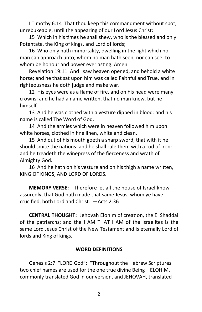I Timothy 6:14 That thou keep this commandment without spot, unrebukeable, until the appearing of our Lord Jesus Christ:

15 Which in his times he shall shew, who is the blessed and only Potentate, the King of kings, and Lord of lords;

16 Who only hath immortality, dwelling in the light which no man can approach unto; whom no man hath seen, nor can see: to whom be honour and power everlasting. Amen.

Revelation 19:11 And I saw heaven opened, and behold a white horse; and he that sat upon him was called Faithful and True, and in righteousness he doth judge and make war.

12 His eyes were as a flame of fire, and on his head were many crowns; and he had a name written, that no man knew, but he himself.

13 And he was clothed with a vesture dipped in blood: and his name is called The Word of God.

14 And the armies which were in heaven followed him upon white horses, clothed in fine linen, white and clean.

15 And out of his mouth goeth a sharp sword, that with it he should smite the nations: and he shall rule them with a rod of iron: and he treadeth the winepress of the fierceness and wrath of Almighty God.

16 And he hath on his vesture and on his thigh a name written, KING OF KINGS, AND LORD OF LORDS.

**MEMORY VERSE:** Therefore let all the house of Israel know assuredly, that God hath made that same Jesus, whom ye have crucified, both Lord and Christ. —Acts 2:36

**CENTRAL THOUGHT:** Jehovah Elohim of creation, the El Shaddai of the patriarchs; and the I AM THAT I AM of the Israelites is the same Lord Jesus Christ of the New Testament and is eternally Lord of lords and King of kings.

# **WORD DEFINITIONS**

Genesis 2:7 "LORD God": "Throughout the Hebrew Scriptures two chief names are used for the one true divine Being—ELOHIM, commonly translated God in our version, and JEHOVAH, translated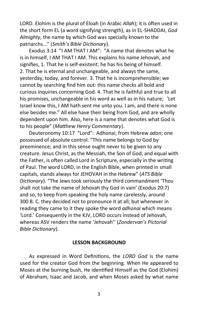LORD. Elohim is the plural of Eloah (in Arabic *Allah*); it is often used in the short form EL (a word signifying strength), as in EL-SHADDAI, *God Almighty*, the name by which God was specially known to the patriarchs..." (*Smith's Bible Dictionary*).

Exodus 3:14 "I AM THAT I AM": "A name that denotes what he is in himself, I AM THAT I AM. This explains his name Jehovah, and signifies, 1. That he is self-existent: he has his being of himself. 2. That he is eternal and unchangeable, and always the same, yesterday, today, and forever. 3. That he is incomprehensible; we cannot by searching find him out: this name checks all bold and curious inquiries concerning God. 4. That he is faithful and true to all his promises, unchangeable in his word as well as in his nature; 'Let Israel know this, I AM hath sent me unto you. I am, and there is none else besides me." All else have their being from God, and are wholly dependent upon him. Also, here is a name that denotes what God is to his people" (*Matthew Henry Commentary*).

Deuteronomy 10:17 "Lord": Adhonai; from Hebrew *adon*; one possessed of absolute control. "This name belongs to God by preeminence; and in this sense ought never to be given to any creature. Jesus Christ, as the Messiah, the Son of God, and equal with the Father, is often called Lord in Scripture, especially in the writing of Paul. The word LORD, in the English Bible, when printed in small capitals, stands always for JEHOVAH in the Hebrew" (*ATS Bible Dictionary*). "The Jews took seriously the third commandment 'Thou shalt not take the name of Jehovah thy God in vain' (Exodus 20:7) and so, to keep from speaking the holy name carelessly, around 300 B. C. they decided not to pronounce it at all; but whenever in reading they came to it they spoke the word *adhonai* which means 'Lord.' Consequently in the KJV, LORD occurs instead of Jehovah, whereas ASV renders the name 'Jehovah'' (*Zondervan's Pictorial Bible Dictionary*).

#### **LESSON BACKGROUND**

As expressed in Word Definitions, the *LORD God* is the name used for the creator God from the beginning. When He appeared to Moses at the burning bush, He identified Himself as the God (Elohim) of Abraham, Isaac and Jacob, and when Moses asked by what name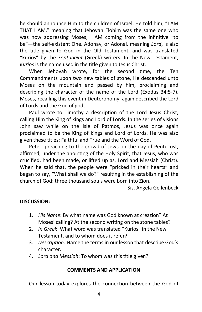he should announce Him to the children of Israel, He told him, "I AM THAT I AM," meaning that Jehovah Elohim was the same one who was now addressing Moses; I AM coming from the infinitive "to be"—the self-existent One. Adonay, or Adonai, meaning *Lord*, is also the title given to God in the Old Testament, and was translated "kurios" by the *Septuagint* (Greek) writers. In the New Testament, *Kurios* is the name used in the title given to Jesus Christ.

When Jehovah wrote, for the second time, the Ten Commandments upon two new tables of stone, He descended unto Moses on the mountain and passed by him, proclaiming and describing the character of the name of the Lord (Exodus 34:5-7). Moses, recalling this event in Deuteronomy, again described the Lord of Lords and the God of gods.

Paul wrote to Timothy a description of the Lord Jesus Christ, calling Him the King of kings and Lord of Lords. In the series of visions John saw while on the Isle of Patmos, Jesus was once again proclaimed to be the King of kings and Lord of Lords. He was also given these titles: Faithful and True and the Word of God.

Peter, preaching to the crowd of Jews on the day of Pentecost, affirmed, under the anointing of the Holy Spirit, that Jesus, who was crucified, had been made, or lifted up as, Lord and Messiah (Christ). When he said that, the people were "pricked in their hearts" and began to say, "What shall we do?" resulting in the establishing of the church of God: three thousand souls were born into Zion.

—Sis. Angela Gellenbeck

# **DISCUSSION:**

- 1. *His Name*: By what name was God known at creation? At Moses' calling? At the second writing on the stone tables?
- 2. *In Greek*: What word was translated "Kurios" in the New Testament, and to whom does it refer?
- 3. *Description*: Name the terms in our lesson that describe God's character.
- 4. *Lord and Messiah*: To whom was this title given?

#### **COMMENTS AND APPLICATION**

Our lesson today explores the connection between the God of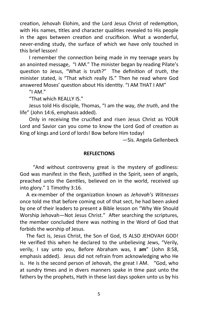creation, Jehovah Elohim, and the Lord Jesus Christ of redemption, with His names, titles and character qualities revealed to His people in the ages between creation and crucifixion. What a wonderful, never-ending study, the surface of which we have only touched in this brief lesson!

I remember the connection being made in my teenage years by an anointed message, "I AM." The minister began by reading Pilate's question to Jesus, "What is truth?" The definition of *truth*, the minister stated, is "That which really IS." Then he read where God answered Moses' question about His identity. "I AM THAT I AM"

"I AM. $"$ 

"That which REALLY IS."

Jesus told His disciple, Thomas, "I am the way, *the truth*, and the life" (John 14:6, emphasis added).

Only in receiving the crucified and risen Jesus Christ as YOUR Lord and Savior can you come to know the Lord God of creation as King of kings and Lord of lords! Bow before Him today!

—Sis. Angela Gellenbeck

#### **REFLECTIONS**

 "And without controversy great is the mystery of godliness: God was manifest in the flesh, justified in the Spirit, seen of angels, preached unto the Gentiles, believed on in the world, received up into glory." 1 Timothy 3:16.

 A ex-member of the organization known as *Jehovah's Witnesses*  once told me that before coming out of that sect, he had been asked by one of their leaders to present a Bible lesson on "Why We Should Worship Jehovah—Not Jesus Christ." After searching the scriptures, the member concluded there was nothing in the Word of God that forbids the worship of Jesus.

 The fact is, Jesus Christ, the Son of God, IS ALSO JEHOVAH GOD! He verified this when he declared to the unbelieving Jews, "Verily, verily, I say unto you, Before Abraham was, **I am**" (John 8:58, emphasis added). Jesus did not refrain from acknowledging who He is. He is the second person of Jehovah, the great I AM. "God, who at sundry times and in divers manners spake in time past unto the fathers by the prophets, Hath in these last days spoken unto us by his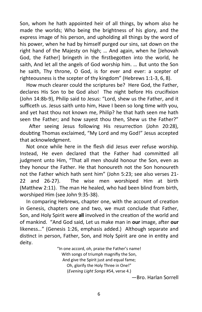Son, whom he hath appointed heir of all things, by whom also he made the worlds; Who being the brightness of his glory, and the express image of his person, and upholding all things by the word of his power, when he had by himself purged our sins, sat down on the right hand of the Majesty on high; … And again, when he [Jehovah God, the Father] bringeth in the firstbegotten into the world, he saith, And let all the angels of God worship him. … But unto the Son he saith, Thy throne, O God, is for ever and ever: a scepter of righteousness is the scepter of thy kingdom" (Hebrews 1:1-3, 6, 8).

 How much clearer could the scriptures be? Here God, the Father, declares His Son to be God also! The night before His crucifixion (John 14:8b-9), Philip said to Jesus: "Lord, shew us the Father, and it sufficeth us. Jesus saith unto him, Have I been so long time with you, and yet hast thou not known me, Philip? he that hath seen me hath seen the Father; and how sayest thou then, Shew us the Father?"

After seeing Jesus following His resurrection (John 20:28), doubting Thomas exclaimed, "My Lord and my God!" Jesus accepted that acknowledgment.

 Not once while here in the flesh did Jesus ever refuse worship. Instead, He even declared that the Father had committed all judgment unto Him, "That all men should honour the Son, even as they honour the Father. He that honoureth not the Son honoureth not the Father which hath sent him" (John 5:23; see also verses 21- 22 and 26-27). The wise men worshiped Him at birth (Matthew 2:11). The man He healed, who had been blind from birth, worshiped Him (see John 9:35-38).

 In comparing Hebrews, chapter one, with the account of creation in Genesis, chapters one and two, we must conclude that Father, Son, and Holy Spirit were **all** involved in the creation of the world and of mankind. "And God said, Let us make man in **our** image, after **our** likeness…" (Genesis 1:26, emphasis added.) Although separate and distinct in person, Father, Son, and Holy Spirit are one in entity and deity.

> "In one accord, oh, praise the Father's name! With songs of triumph magnifiy the Son, And give the Spirit just and equal fame; Oh, glorify the Holy Three in One!" (*Evening Light Songs* #54, verse 4.)

—Bro. Harlan Sorrell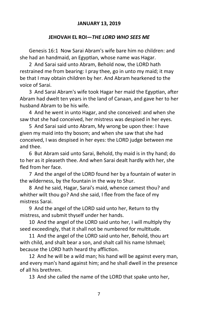#### **JANUARY 13, 2019**

#### **JEHOVAH EL ROI—***THE LORD WHO SEES ME*

Genesis 16:1 Now Sarai Abram's wife bare him no children: and she had an handmaid, an Egyptian, whose name was Hagar.

2 And Sarai said unto Abram, Behold now, the LORD hath restrained me from bearing: I pray thee, go in unto my maid; it may be that I may obtain children by her. And Abram hearkened to the voice of Sarai.

3 And Sarai Abram's wife took Hagar her maid the Egyptian, after Abram had dwelt ten years in the land of Canaan, and gave her to her husband Abram to be his wife.

4 And he went in unto Hagar, and she conceived: and when she saw that she had conceived, her mistress was despised in her eyes.

5 And Sarai said unto Abram, My wrong be upon thee: I have given my maid into thy bosom; and when she saw that she had conceived, I was despised in her eyes: the LORD judge between me and thee.

6 But Abram said unto Sarai, Behold, thy maid is in thy hand; do to her as it pleaseth thee. And when Sarai dealt hardly with her, she fled from her face.

7 And the angel of the LORD found her by a fountain of water in the wilderness, by the fountain in the way to Shur.

8 And he said, Hagar, Sarai's maid, whence camest thou? and whither wilt thou go? And she said, I flee from the face of my mistress Sarai.

9 And the angel of the LORD said unto her, Return to thy mistress, and submit thyself under her hands.

10 And the angel of the LORD said unto her, I will multiply thy seed exceedingly, that it shall not be numbered for multitude.

11 And the angel of the LORD said unto her, Behold, thou art with child, and shalt bear a son, and shalt call his name Ishmael; because the LORD hath heard thy affliction.

12 And he will be a wild man; his hand will be against every man, and every man's hand against him; and he shall dwell in the presence of all his brethren.

13 And she called the name of the LORD that spake unto her,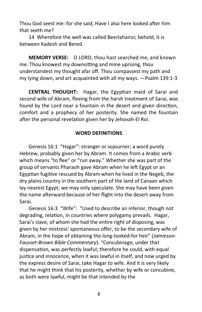Thou God seest me: for she said, Have I also here looked after him that seeth me?

14 Wherefore the well was called Beerlahairoi; behold, it is between Kadesh and Bered.

**MEMORY VERSE:** O LORD, thou hast searched me, and known me. Thou knowest my downsitting and mine uprising, thou understandest my thought afar off. Thou compassest my path and my lying down, and art acquainted with all my ways. —Psalm 139:1-3

**CENTRAL THOUGHT:** Hagar, the Egyptian maid of Sarai and second wife of Abram, fleeing from the harsh treatment of Sarai, was found by the Lord near a fountain in the desert and given direction, comfort and a prophecy of her posterity. She named the fountain after the personal revelation given her by Jehovah-El Roi.

#### **WORD DEFINITIONS**

Genesis 16:1 "Hagar": stranger or sojourner; a word purely Hebrew, probably given her by Abram. It comes from a Arabic verb which means "to flee" or "run away." Whether she was part of the group of servants Pharaoh gave Abram when he left Egypt or an Egyptian fugitive rescued by Abram when he lived in the Negeb, the dry plains country in the southern part of the land of Canaan which lay nearest Egypt, we may only speculate. She may have been given the name afterward because of her flight into the desert away from Sarai.

Genesis 16:3 "Wife": "Used to describe an inferior, though not degrading, relation, in countries where polygamy prevails. Hagar, Sarai's slave, of whom she had the entire right of disposing, was given by her mistress' spontaneous offer, to be the secondary wife of Abram, in the hope of obtaining the long-looked-for heir" (*Jamieson-Fausset-Brown Bible Commentary*). "Concubinage, under that dispensation, was perfectly lawful; therefore he could, with equal justice and innocence, when it was lawful in itself, and now urged by the express desire of Sarai, take Hagar to wife. And it is very likely that he might think that his posterity, whether by wife or concubine, as both were lawful, might be that intended by the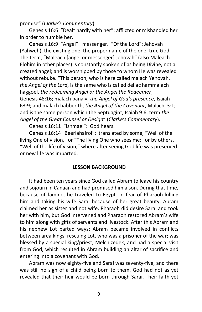promise" (*Clarke's Commentary*).

Genesis 16:6 "Dealt hardly with her": afflicted or mishandled her in order to humble her.

Genesis 16:9 "Angel": messenger. "Of the Lord": Jehovah (Yahweh), the existing one; the proper name of the one, true God. The term, "Maleach [angel or messenger] Jehovah" (also Maleach Elohim in other places) is constantly spoken of as being Divine, not a created angel; and is worshipped by those to whom He was revealed without rebuke. "This person, who is here called malach Yehovah, *the Angel of the Lord*, is the same who is called dellac hammalach haggoel, *the redeeming Angel or the Angel the Redeemer*, Genesis 48:16; malach panaiv, *the Angel of God's presence*, Isaiah 63:9; and malach habberith, *the Angel of the Covenant*, Malachi 3:1; and is the same person which the Septuagint, Isaiah 9:6, term *the Angel of the Great Counsel or Design*" (*Clarke's Commentary*).

Genesis 16:11 "Ishmael": God hears.

Genesis 16:14 "Beerlahairoi": translated by some, "Well of the living One of vision," or "The living One who sees me;" or by others, "Well of the life of vision," where after seeing God life was preserved or new life was imparted.

#### **LESSON BACKGROUND**

It had been ten years since God called Abram to leave his country and sojourn in Canaan and had promised him a son. During that time, because of famine, he traveled to Egypt. In fear of Pharaoh killing him and taking his wife Sarai because of her great beauty, Abram claimed her as sister and not wife. Pharaoh did desire Sarai and took her with him, but God intervened and Pharaoh restored Abram's wife to him along with gifts of servants and livestock. After this Abram and his nephew Lot parted ways; Abram became involved in conflicts between area kings, rescuing Lot, who was a prisoner of the war; was blessed by a special king/priest, Melchizedek; and had a special visit from God, which resulted in Abram building an altar of sacrifice and entering into a covenant with God.

Abram was now eighty-five and Sarai was seventy-five, and there was still no sign of a child being born to them. God had not as yet revealed that their heir would be born through Sarai. Their faith yet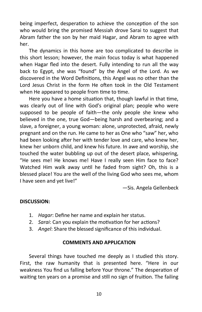being imperfect, desperation to achieve the conception of the son who would bring the promised Messiah drove Sarai to suggest that Abram father the son by her maid Hagar, and Abram to agree with her.

The dynamics in this home are too complicated to describe in this short lesson; however, the main focus today is what happened when Hagar fled into the desert. Fully intending to run all the way back to Egypt, she was "found" by the Angel of the Lord. As we discovered in the Word Definitions, this Angel was no other than the Lord Jesus Christ in the form He often took in the Old Testament when He appeared to people from time to time.

Here you have a home situation that, though lawful in that time, was clearly out of line with God's original plan; people who were supposed to be people of faith—the only people she knew who believed in the one, true God—being harsh and overbearing; and a slave, a foreigner, a young woman: alone, unprotected, afraid, newly pregnant and on the run. He came to her as One who "saw" her, who had been looking after her with tender love and care, who knew her, knew her unborn child, and knew his future. In awe and worship, she touched the water bubbling up out of the desert place, whispering, "He sees me! He knows me! Have I really seen Him face to face? Watched Him walk away until he faded from sight? Oh, this is a blessed place! You are the well of the living God who sees me, whom I have seen and yet live!"

—Sis. Angela Gellenbeck

# **DISCUSSION:**

- 1. *Hagar*: Define her name and explain her status.
- 2. *Sarai*: Can you explain the motivation for her actions?
- 3. *Angel*: Share the blessed significance of this individual.

#### **COMMENTS AND APPLICATION**

Several things have touched me deeply as I studied this story. First, the raw humanity that is presented here. "Here in our weakness You find us falling before Your throne." The desperation of waiting ten years on a promise and still no sign of fruition. The failing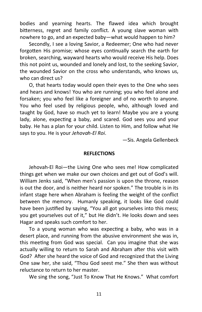bodies and yearning hearts. The flawed idea which brought bitterness, regret and family conflict. A young slave woman with nowhere to go, and an expected baby—what would happen to him?

Secondly, I see a loving Savior, a Redeemer; One who had never forgotten His promise; whose eyes continually search the earth for broken, searching, wayward hearts who would receive His help. Does this not point us, wounded and lonely and lost, to the seeking Savior, the wounded Savior on the cross who understands, who knows us, who can direct us?

O, that hearts today would open their eyes to the One who sees and hears and knows! You who are running; you who feel alone and forsaken; you who feel like a foreigner and of no worth to anyone. You who feel used by religious people, who, although loved and taught by God, have so much yet to learn! Maybe you are a young lady, alone, expecting a baby, and scared. God sees you and your baby. He has a plan for your child. Listen to Him, and follow what He says to you. He is your *Jehovah-El Roi*.

—Sis. Angela Gellenbeck

#### **REFLECTIONS**

Jehovah-El Roi—the Living One who sees me! How complicated things get when we make our own choices and get out of God's will. William Jenks said, "When men's passion is upon the throne, reason is out the door, and is neither heard nor spoken." The trouble is in its infant stage here when Abraham is feeling the weight of the conflict between the memory. Humanly speaking, it looks like God could have been justified by saying, "You all got yourselves into this mess; you get yourselves out of it," but He didn't. He looks down and sees Hagar and speaks such comfort to her.

To a young woman who was expecting a baby, who was in a desert place, and running from the abusive environment she was in, this meeting from God was special. Can you imagine that she was actually willing to return to Sarah and Abraham after this visit with God? After she heard the voice of God and recognized that the Living One saw her, she said, "Thou God seest me." She then was without reluctance to return to her master.

We sing the song, "Just To Know That He Knows." What comfort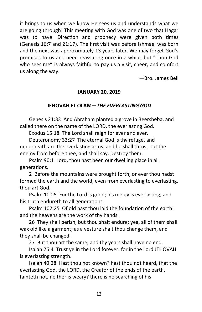it brings to us when we know He sees us and understands what we are going through! This meeting with God was one of two that Hagar was to have. Direction and prophecy were given both times (Genesis 16:7 and 21:17). The first visit was before Ishmael was born and the next was approximately 13 years later. We may forget God's promises to us and need reassuring once in a while, but "Thou God who sees me" is always faithful to pay us a visit, cheer, and comfort us along the way.

—Bro. James Bell

# **JANUARY 20, 2019**

# **JEHOVAH EL OLAM—***THE EVERLASTING GOD*

Genesis 21:33 And Abraham planted a grove in Beersheba, and called there on the name of the LORD, the everlasting God.

Exodus 15:18 The Lord shall reign for ever and ever.

Deuteronomy 33:27 The eternal God is thy refuge, and underneath are the everlasting arms: and he shall thrust out the enemy from before thee; and shall say, Destroy them.

Psalm 90:1 Lord, thou hast been our dwelling place in all generations.

2 Before the mountains were brought forth, or ever thou hadst formed the earth and the world, even from everlasting to everlasting, thou art God.

Psalm 100:5 For the Lord is good; his mercy is everlasting; and his truth endureth to all generations.

Psalm 102:25 Of old hast thou laid the foundation of the earth: and the heavens are the work of thy hands.

26 They shall perish, but thou shalt endure: yea, all of them shall wax old like a garment; as a vesture shalt thou change them, and they shall be changed:

27 But thou art the same, and thy years shall have no end.

Isaiah 26:4 Trust ye in the Lord forever: for in the Lord JEHOVAH is everlasting strength.

Isaiah 40:28 Hast thou not known? hast thou not heard, that the everlasting God, the LORD, the Creator of the ends of the earth, fainteth not, neither is weary? there is no searching of his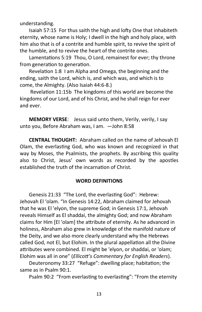understanding.

Isaiah 57:15 For thus saith the high and lofty One that inhabiteth eternity, whose name is Holy; I dwell in the high and holy place, with him also that is of a contrite and humble spirit, to revive the spirit of the humble, and to revive the heart of the contrite ones.

Lamentations 5:19 Thou, O Lord, remainest for ever; thy throne from generation to generation.

Revelation 1:8 I am Alpha and Omega, the beginning and the ending, saith the Lord, which is, and which was, and which is to come, the Almighty. (Also Isaiah 44:6-8.)

Revelation 11:15b The kingdoms of this world are become the kingdoms of our Lord, and of his Christ, and he shall reign for ever and ever.

**MEMORY VERSE**: Jesus said unto them, Verily, verily, I say unto you, Before Abraham was, I am. —John 8:58

**CENTRAL THOUGHT:** Abraham called on the name of Jehovah El Olam, the everlasting God, who was known and recognized in that way by Moses, the Psalmists, the prophets. By ascribing this quality also to Christ, Jesus' own words as recorded by the apostles established the truth of the incarnation of Christ.

#### **WORD DEFINITIONS**

Genesis 21:33 "The Lord, the everlasting God": Hebrew: Jehovah El 'olam. "In Genesis 14:22, Abraham claimed for Jehovah that he was El 'elyon, the supreme God; in Genesis 17:1, Jehovah reveals Himself as El shaddai, the almighty God; and now Abraham claims for Him [El 'olam] the attribute of eternity. As he advanced in holiness, Abraham also grew in knowledge of the manifold nature of the Deity, and we also more clearly understand why the Hebrews called God, not El, but Elohim. In the plural appellation all the Divine attributes were combined. El might be 'elyon, or shaddai, or 'olam; Elohim was all in one" (*Ellicott's Commentary for English Readers*).

Deuteronomy 33:27 "Refuge": dwelling place; habitation; the same as in Psalm 90:1.

Psalm 90:2 "From everlasting to everlasting": "From the eternity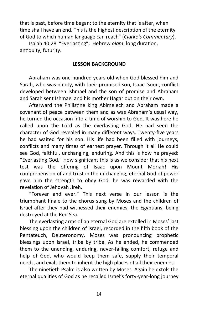that is past, before time began; to the eternity that is after, when time shall have an end. This is the highest description of the eternity of God to which human language can reach" (*Clarke's Commentary*).

Isaiah 40:28 "Everlasting": Hebrew *olam*: long duration, antiquity, futurity.

#### **LESSON BACKGROUND**

Abraham was one hundred years old when God blessed him and Sarah, who was ninety, with their promised son, Isaac. Soon, conflict developed between Ishmael and the son of promise and Abraham and Sarah sent Ishmael and his mother Hagar out on their own.

Afterward the Philistine king Abimelech and Abraham made a covenant of peace between them and as was Abraham's usual way, he turned the occasion into a time of worship to God. It was here he called upon the Lord as the everlasting God. He had seen the character of God revealed in many different ways. Twenty-five years he had waited for his son. His life had been filled with journeys, conflicts and many times of earnest prayer. Through it all He could see God, faithful, unchanging, enduring. And this is how he prayed: "Everlasting God." How significant this is as we consider that his next test was the offering of Isaac upon Mount Moriah! His comprehension of and trust in the unchanging, eternal God of power gave him the strength to obey God; he was rewarded with the revelation of Jehovah Jireh.

"Forever and ever." This next verse in our lesson is the triumphant finale to the chorus sung by Moses and the children of Israel after they had witnessed their enemies, the Egyptians, being destroyed at the Red Sea.

The everlasting arms of an eternal God are extolled in Moses' last blessing upon the children of Israel, recorded in the fifth book of the Pentateuch, Deuteronomy. Moses was pronouncing prophetic blessings upon Israel, tribe by tribe. As he ended, he commended them to the unending, enduring, never-failing comfort, refuge and help of God, who would keep them safe, supply their temporal needs, and exalt them to inherit the high places of all their enemies.

The ninetieth Psalm is also written by Moses. Again he extols the eternal qualities of God as he recalled Israel's forty-year-long journey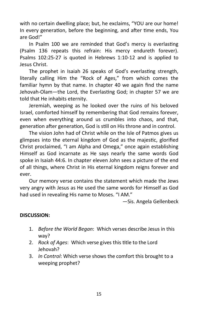with no certain dwelling place; but, he exclaims, "YOU are our home! In every generation, before the beginning, and after time ends, You are God!"

In Psalm 100 we are reminded that God's mercy is everlasting (Psalm 136 repeats this refrain: His mercy endureth forever). Psalms 102:25-27 is quoted in Hebrews 1:10-12 and is applied to Jesus Christ.

The prophet in Isaiah 26 speaks of God's everlasting strength, literally calling Him the "Rock of Ages," from which comes the familiar hymn by that name. In chapter 40 we again find the name Jehovah-Olam—the Lord, the Everlasting God; in chapter 57 we are told that He inhabits eternity.

Jeremiah, weeping as he looked over the ruins of his beloved Israel, comforted himself by remembering that God remains forever, even when everything around us crumbles into chaos, and that, generation after generation, God is still on His throne and in control.

The vision John had of Christ while on the Isle of Patmos gives us glimpses into the eternal kingdom of God as the majestic, glorified Christ proclaimed, "I am Alpha and Omega," once again establishing Himself as God incarnate as He says nearly the same words God spoke in Isaiah 44:6. In chapter eleven John sees a picture of the end of all things, where Christ in His eternal kingdom reigns forever and ever.

Our memory verse contains the statement which made the Jews very angry with Jesus as He used the same words for Himself as God had used in revealing His name to Moses. "I AM."

—Sis. Angela Gellenbeck

# **DISCUSSION:**

- 1. *Before the World Began*: Which verses describe Jesus in this way?
- 2. *Rock of Ages*: Which verse gives this title to the Lord Jehovah?
- 3. *In Control*: Which verse shows the comfort this brought to a weeping prophet?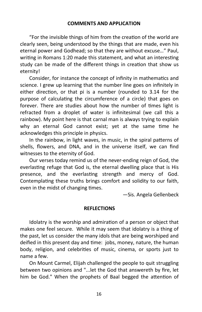"For the invisible things of him from the creation of the world are clearly seen, being understood by the things that are made, even his eternal power and Godhead; so that they are without excuse…" Paul, writing in Romans 1:20 made this statement, and what an interesting study can be made of the different things in creation that show us eternity!

Consider, for instance the concept of infinity in mathematics and science. I grew up learning that the number line goes on infinitely in either direction, or that pi is a number (rounded to 3.14 for the purpose of calculating the circumference of a circle) that goes on forever. There are studies about how the number of times light is refracted from a droplet of water is infinitesimal (we call this a rainbow). My point here is that carnal man is always trying to explain why an eternal God cannot exist; yet at the same time he acknowledges this principle in physics.

In the rainbow, in light waves, in music, in the spiral patterns of shells, flowers, and DNA, and in the universe itself, we can find witnesses to the eternity of God.

Our verses today remind us of the never-ending reign of God, the everlasting refuge that God is, the eternal dwelling place that is His presence, and the everlasting strength and mercy of God. Contemplating these truths brings comfort and solidity to our faith, even in the midst of changing times.

—Sis. Angela Gellenbeck

#### **REFLECTIONS**

Idolatry is the worship and admiration of a person or object that makes one feel secure. While it may seem that idolatry is a thing of the past, let us consider the many idols that are being worshiped and deified in this present day and time: jobs, money, nature, the human body, religion, and celebrities of music, cinema, or sports just to name a few.

On Mount Carmel, Elijah challenged the people to quit struggling between two opinions and "...let the God that answereth by fire, let him be God." When the prophets of Baal begged the attention of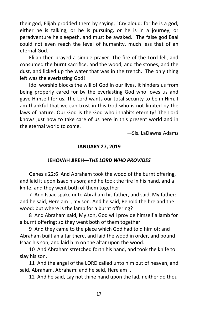their god, Elijah prodded them by saying, "Cry aloud: for he is a god; either he is talking, or he is pursuing, or he is in a journey, or peradventure he sleepeth, and must be awaked." The false god Baal could not even reach the level of humanity, much less that of an eternal God.

Elijah then prayed a simple prayer. The fire of the Lord fell, and consumed the burnt sacrifice, and the wood, and the stones, and the dust, and licked up the water that was in the trench. The only thing left was the everlasting God!

Idol worship blocks the will of God in our lives. It hinders us from being properly cared for by the everlasting God who loves us and gave Himself for us. The Lord wants our total security to be in Him. I am thankful that we can trust in this God who is not limited by the laws of nature. Our God is the God who inhabits eternity! The Lord knows just how to take care of us here in this present world and in the eternal world to come.

—Sis. LaDawna Adams

#### **JANUARY 27, 2019**

#### **JEHOVAH JIREH—***THE LORD WHO PROVIDES*

Genesis 22:6 And Abraham took the wood of the burnt offering, and laid it upon Isaac his son; and he took the fire in his hand, and a knife; and they went both of them together.

7 And Isaac spake unto Abraham his father, and said, My father: and he said, Here am I, my son. And he said, Behold the fire and the wood: but where is the lamb for a burnt offering?

8 And Abraham said, My son, God will provide himself a lamb for a burnt offering: so they went both of them together.

9 And they came to the place which God had told him of; and Abraham built an altar there, and laid the wood in order, and bound Isaac his son, and laid him on the altar upon the wood.

10 And Abraham stretched forth his hand, and took the knife to slay his son.

11 And the angel of the LORD called unto him out of heaven, and said, Abraham, Abraham: and he said, Here am I.

12 And he said, Lay not thine hand upon the lad, neither do thou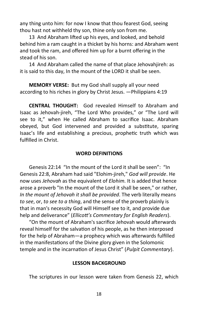any thing unto him: for now I know that thou fearest God, seeing thou hast not withheld thy son, thine only son from me.

13 And Abraham lifted up his eyes, and looked, and behold behind him a ram caught in a thicket by his horns: and Abraham went and took the ram, and offered him up for a burnt offering in the stead of his son.

14 And Abraham called the name of that place Jehovahjireh: as it is said to this day, In the mount of the LORD it shall be seen.

**MEMORY VERSE:** But my God shall supply all your need according to his riches in glory by Christ Jesus. —Philippians 4:19

**CENTRAL THOUGHT:** God revealed Himself to Abraham and Isaac as Jehovah-jireh, "The Lord Who provides," or "The Lord will see to it," when He called Abraham to sacrifice Isaac. Abraham obeyed, but God intervened and provided a substitute, sparing Isaac's life and establishing a precious, prophetic truth which was fulfilled in Christ.

#### **WORD DEFINITIONS**

Genesis 22:14 "In the mount of the Lord it shall be seen": "In Genesis 22:8, Abraham had said "Elohim-jireh," *God will provide*. He now uses *Jehovah* as the equivalent of *Elohim.* It is added that hence arose a proverb "In the mount of the Lord it shall be seen," or rather, *In the mount of Jehovah it shall be provided*. The verb literally means *to see*, or, *to see to a thing*, and the sense of the proverb plainly is that in man's necessity God will Himself see to it, and provide due help and deliverance" (*Ellicott's Commentary for English Readers*).

"On the mount of Abraham's sacrifice Jehovah would afterwards reveal himself for the salvation of his people, as he then interposed for the help of Abraham—a prophecy which was afterwards fulfilled in the manifestations of the Divine glory given in the Solomonic temple and in the incarnation of Jesus Christ" (*Pulpit Commentary*).

#### **LESSON BACKGROUND**

The scriptures in our lesson were taken from Genesis 22, which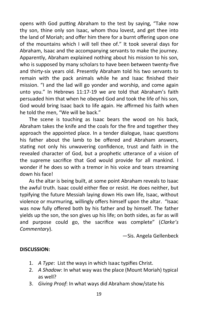opens with God putting Abraham to the test by saying, "Take now thy son, thine only son Isaac, whom thou lovest, and get thee into the land of Moriah; and offer him there for a burnt offering upon one of the mountains which I will tell thee of." It took several days for Abraham, Isaac and the accompanying servants to make the journey. Apparently, Abraham explained nothing about his mission to his son, who is supposed by many scholars to have been between twenty-five and thirty-six years old. Presently Abraham told his two servants to remain with the pack animals while he and Isaac finished their mission. "I and the lad will go yonder and worship, and come again unto you." In Hebrews 11:17-19 we are told that Abraham's faith persuaded him that when he obeyed God and took the life of his son, God would bring Isaac back to life again. He affirmed his faith when he told the men, "We will be back."

The scene is touching as Isaac bears the wood on his back, Abraham takes the knife and the coals for the fire and together they approach the appointed place. In a tender dialogue, Isaac questions his father about the lamb to be offered and Abraham answers, stating not only his unwavering confidence, trust and faith in the revealed character of God, but a prophetic utterance of a vision of the supreme sacrifice that God would provide for all mankind. I wonder if he does so with a tremor in his voice and tears streaming down his face!

As the altar is being built, at some point Abraham reveals to Isaac the awful truth. Isaac could either flee or resist. He does neither, but typifying the future Messiah laying down His own life, Isaac, without violence or murmuring, willingly offers himself upon the altar. "Isaac was now fully offered both by his father and by himself. The father yields up the son, the son gives up his life; on both sides, as far as will and purpose could go, the sacrifice was complete" (*Clarke's Commentary*).

—Sis. Angela Gellenbeck

# **DISCUSSION:**

- 1. *A Type*: List the ways in which Isaac typifies Christ.
- 2. *A Shadow*: In what way was the place (Mount Moriah) typical as well?
- 3. *Giving Proof*: In what ways did Abraham show/state his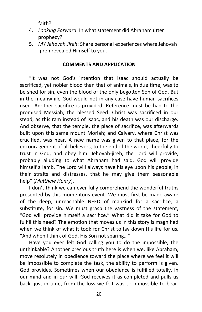faith?

- 4. *Looking Forward*: In what statement did Abraham utter prophecy?
- 5. *MY Jehovah Jireh*: Share personal experiences where Jehovah -jireh revealed Himself to you.

# **COMMENTS AND APPLICATION**

"It was not God's intention that Isaac should actually be sacrificed, yet nobler blood than that of animals, in due time, was to be shed for sin, even the blood of the only begotten Son of God. But in the meanwhile God would not in any case have human sacrifices used. Another sacrifice is provided. Reference must be had to the promised Messiah, the blessed Seed. Christ was sacrificed in our stead, as this ram instead of Isaac, and his death was our discharge. And observe, that the temple, the place of sacrifice, was afterwards built upon this same mount Moriah; and Calvary, where Christ was crucified, was near. A new name was given to that place, for the encouragement of all believers, to the end of the world, cheerfully to trust in God, and obey him. Jehovah-jireh, the Lord will provide; probably alluding to what Abraham had said, God will provide himself a lamb. The Lord will always have his eye upon his people, in their straits and distresses, that he may give them seasonable help" (*Matthew Henry*).

I don't think we can ever fully comprehend the wonderful truths presented by this momentous event. We must first be made aware of the deep, unreachable NEED of mankind for a sacrifice, a substitute, for sin. We must grasp the vastness of the statement, "God will provide himself a sacrifice." What did it take for God to fulfill this need? The emotion that moves us in this story is magnified when we think of what it took for Christ to lay down His life for us. "And when I think of God, His Son not sparing…"

Have you ever felt God calling you to do the impossible, the unthinkable? Another precious truth here is when we, like Abraham, move resolutely in obedience toward the place where we feel it will be impossible to complete the task, the ability to perform is given. God provides. Sometimes when our obedience is fulfilled totally, in our mind and in our will, God receives it as completed and pulls us back, just in time, from the loss we felt was so impossible to bear.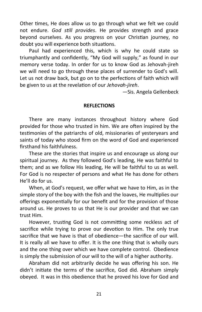Other times, He does allow us to go through what we felt we could not endure. *God still provides*. He provides strength and grace beyond ourselves. As you progress on your Christian journey, no doubt you will experience both situations.

Paul had experienced this, which is why he could state so triumphantly and confidently, "My God will supply," as found in our memory verse today. In order for us to know God as Jehovah-jireh we will need to go through these places of surrender to God's will. Let us not draw back, but go on to the perfections of faith which will be given to us at the revelation of our *Jehovah-jireh*.

—Sis. Angela Gellenbeck

#### **REFLECTIONS**

There are many instances throughout history where God provided for those who trusted in him. We are often inspired by the testimonies of the patriarchs of old, missionaries of yesteryears and saints of today who stood firm on the word of God and experienced firsthand his faithfulness.

These are the stories that inspire us and encourage us along our spiritual journey. As they followed God's leading, He was faithful to them; and as we follow His leading, He will be faithful to us as well. For God is no respecter of persons and what He has done for others He'll do for us.

When, at God's request, we offer what we have to Him, as in the simple story of the boy with the fish and the loaves, He multiplies our offerings exponentially for our benefit and for the provision of those around us. He proves to us that He is our provider and that we can trust Him.

However, trusting God is not committing some reckless act of sacrifice while trying to prove our devotion to Him. The only true sacrifice that we have is that of obedience—the sacrifice of our will. It is really all we have to offer. It is the one thing that is wholly ours and the one thing over which we have complete control. Obedience is simply the submission of our will to the will of a higher authority.

Abraham did not arbitrarily decide he was offering his son. He didn't initiate the terms of the sacrifice, God did. Abraham simply obeyed. It was in this obedience that he proved his love for God and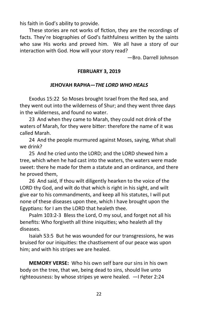his faith in God's ability to provide.

These stories are not works of fiction, they are the recordings of facts. They're biographies of God's faithfulness written by the saints who saw His works and proved him. We all have a story of our interaction with God. How will your story read?

—Bro. Darrell Johnson

# **FEBRUARY 3, 2019**

# **JEHOVAH RAPHA—***THE LORD WHO HEALS*

Exodus 15:22 So Moses brought Israel from the Red sea, and they went out into the wilderness of Shur; and they went three days in the wilderness, and found no water.

23 And when they came to Marah, they could not drink of the waters of Marah, for they were bitter: therefore the name of it was called Marah.

24 And the people murmured against Moses, saying, What shall we drink?

25 And he cried unto the LORD; and the LORD shewed him a tree, which when he had cast into the waters, the waters were made sweet: there he made for them a statute and an ordinance, and there he proved them,

26 And said, If thou wilt diligently hearken to the voice of the LORD thy God, and wilt do that which is right in his sight, and wilt give ear to his commandments, and keep all his statutes, I will put none of these diseases upon thee, which I have brought upon the Egyptians: for I am the LORD that healeth thee.

Psalm 103:2-3 Bless the Lord, O my soul, and forget not all his benefits: Who forgiveth all thine iniquities; who healeth all thy diseases.

Isaiah 53:5 But he was wounded for our transgressions, he was bruised for our iniquities: the chastisement of our peace was upon him; and with his stripes we are healed.

**MEMORY VERSE:** Who his own self bare our sins in his own body on the tree, that we, being dead to sins, should live unto righteousness: by whose stripes ye were healed. —I Peter 2:24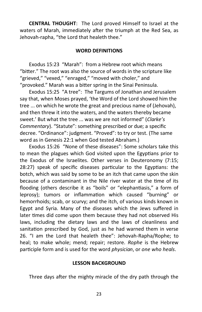**CENTRAL THOUGHT**: The Lord proved Himself to Israel at the waters of Marah, immediately after the triumph at the Red Sea, as Jehovah-rapha, "the Lord that healeth thee."

#### **WORD DEFINITIONS**

Exodus 15:23 "Marah": from a Hebrew root which means "bitter." The root was also the source of words in the scripture like "grieved," "vexed," "enraged," "moved with choler," and "provoked." Marah was a bitter spring in the Sinai Peninsula.

Exodus 15:25 "A tree": The Targums of Jonathan and Jerusalem say that, when Moses prayed, 'the Word of the Lord showed him the tree ... on which he wrote the great and precious name of (Jehovah), and then threw it into the waters, and the waters thereby became sweet.' But what the tree ... was we are not informed" (*Clarke's Commentary*). "Statute": something prescribed or due; a specific decree. "Ordinance": judgment. "Proved": to try or test. (The same word as in Genesis 22:1 when God tested Abraham.)

Exodus 15:26 "None of these diseases": Some scholars take this to mean the plagues which God visited upon the Egyptians prior to the Exodus of the Israelites. Other verses in Deuteronomy (7:15; 28:27) speak of specific diseases particular to the Egyptians: the botch, which was said by some to be an itch that came upon the skin because of a contaminant in the Nile river water at the time of its flooding (others describe it as "boils" or "elephantiasis," a form of leprosy); tumors or inflammation which caused "burning" or hemorrhoids; scab, or scurvy; and the itch, of various kinds known in Egypt and Syria. Many of the diseases which the Jews suffered in later times did come upon them because they had not observed His laws, including the dietary laws and the laws of cleanliness and sanitation prescribed by God, just as he had warned them in verse 26. "I am the Lord that healeth thee": Jehovah-Rapha/Rophe; to heal; to make whole; mend; repair; restore. *Rophe* is the Hebrew participle form and is used for the word *physician*, or *one who heals*.

#### **LESSON BACKGROUND**

Three days after the mighty miracle of the dry path through the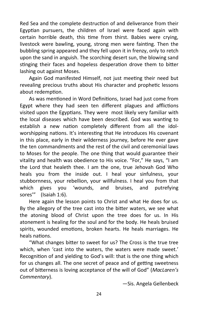Red Sea and the complete destruction of and deliverance from their Egyptian pursuers, the children of Israel were faced again with certain horrible death, this time from thirst. Babies were crying, livestock were bawling, young, strong men were fainting. Then the bubbling spring appeared and they fell upon it in frenzy, only to retch upon the sand in anguish. The scorching desert sun, the blowing sand stinging their faces and hopeless desperation drove them to bitter lashing out against Moses.

Again God manifested Himself, not just meeting their need but revealing precious truths about His character and prophetic lessons about redemption.

As was mentioned in Word Definitions, Israel had just come from Egypt where they had seen ten different plagues and afflictions visited upon the Egyptians. They were most likely very familiar with the local diseases which have been described. God was wanting to establish a new nation completely different from all the idolworshipping nations. It's interesting that He introduces His covenant in this place, early in their wilderness journey, before He ever gave the ten commandments and the rest of the civil and ceremonial laws to Moses for the people. The one thing that would guarantee their vitality and health was obedience to His voice. "For," He says, "I am the Lord that healeth thee. I am the one, true Jehovah God Who heals you from the inside out. I heal your sinfulness, your stubbornness, your rebellion, your willfulness. I heal you from that which gives you 'wounds, and bruises, and putrefying sores'" (Isaiah 1:6).

Here again the lesson points to Christ and what He does for us. By the allegory of the tree cast into the bitter waters, we see what the atoning blood of Christ upon the tree does for us. In His atonement is healing for the soul and for the body. He heals bruised spirits, wounded emotions, broken hearts. He heals marriages. He heals nations.

"What changes bitter to sweet for us? The Cross is the true tree which, when 'cast into the waters, the waters were made sweet.' Recognition of and yielding to God's will: that is the one thing which for us changes all. The one secret of peace and of getting sweetness out of bitterness is loving acceptance of the will of God" (*MacLaren's Commentary*).

—Sis. Angela Gellenbeck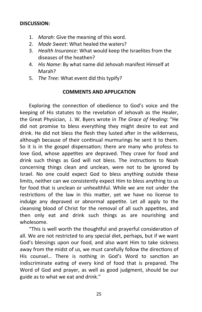#### **DISCUSSION:**

- 1. *Marah*: Give the meaning of this word.
- 2. *Made Sweet*: What healed the waters?
- 3. *Health Insurance*: What would keep the Israelites from the diseases of the heathen?
- 4. *His Name*: By what name did Jehovah manifest Himself at Marah?
- 5. *The Tree*: What event did this typify?

#### **COMMENTS AND APPLICATION**

Exploring the connection of obedience to God's voice and the keeping of His statutes to the revelation of Jehovah as the Healer, the Great Physician, J. W. Byers wrote in *The Grace of Healing*: "He did not promise to bless everything they might desire to eat and drink. He did not bless the flesh they lusted after in the wilderness, although because of their continual murmurings he sent it to them. So it is in the gospel dispensation; there are many who profess to love God, whose appetites are depraved. They crave for food and drink such things as God will not bless. The instructions to Noah concerning things clean and unclean, were not to be ignored by Israel. No one could expect God to bless anything outside these limits, neither can we consistently expect Him to bless anything to us for food that is unclean or unhealthful. While we are not under the restrictions of the law in this matter, yet we have no license to indulge any depraved or abnormal appetite. Let all apply to the cleansing blood of Christ for the removal of all such appetites, and then only eat and drink such things as are nourishing and wholesome.

"This is well worth the thoughtful and prayerful consideration of all. We are not restricted to any special diet, perhaps, but if we want God's blessings upon our food, and also want Him to take sickness away from the midst of us, we must carefully follow the directions of His counsel… There is nothing in God's Word to sanction an indiscriminate eating of every kind of food that is prepared. The Word of God and prayer, as well as good judgment, should be our guide as to what we eat and drink."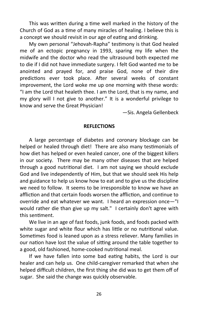This was written during a time well marked in the history of the Church of God as a time of many miracles of healing. I believe this is a concept we should revisit in our age of eating and drinking.

My own personal "Jehovah-Rapha" testimony is that God healed me of an ectopic pregnancy in 1993, sparing my life when the midwife and the doctor who read the ultrasound both expected me to die if I did not have immediate surgery. I felt God wanted me to be anointed and prayed for, and praise God, none of their dire predictions ever took place. After several weeks of constant improvement, the Lord woke me up one morning with these words: "I am the Lord that healeth thee. I am the Lord, that is my name, and my glory will I not give to another." It is a wonderful privilege to know and serve the Great Physician!

—Sis. Angela Gellenbeck

#### **REFLECTIONS**

A large percentage of diabetes and coronary blockage can be helped or healed through diet! There are also many testimonials of how diet has helped or even healed cancer, one of the biggest killers in our society. There may be many other diseases that are helped through a good nutritional diet. I am not saying we should exclude God and live independently of Him, but that we should seek His help and guidance to help us know how to eat and to give us the discipline we need to follow. It seems to be irresponsible to know we have an affliction and that certain foods worsen the affliction, and continue to override and eat whatever we want. I heard an expression once—"I would rather die than give up my salt." I certainly don't agree with this sentiment.

We live in an age of fast foods, junk foods, and foods packed with white sugar and white flour which has little or no nutritional value. Sometimes food is leaned upon as a stress reliever. Many families in our nation have lost the value of sitting around the table together to a good, old fashioned, home-cooked nutritional meal.

If we have fallen into some bad eating habits, the Lord is our healer and can help us. One child-caregiver remarked that when she helped difficult children, the first thing she did was to get them off of sugar. She said the change was quickly observable.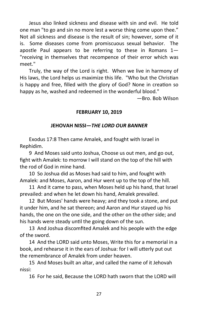Jesus also linked sickness and disease with sin and evil. He told one man "to go and sin no more lest a worse thing come upon thee." Not all sickness and disease is the result of sin; however, some of it is. Some diseases come from promiscuous sexual behavior. The apostle Paul appears to be referring to these in Romans  $1-$ "receiving in themselves that recompence of their error which was meet."

Truly, the way of the Lord is right. When we live in harmony of His laws, the Lord helps us maximize this life. "Who but the Christian is happy and free, filled with the glory of God? None in creation so happy as he, washed and redeemed in the wonderful blood."

—Bro. Bob Wilson

# **FEBRUARY 10, 2019**

# **JEHOVAH NISSI—***THE LORD OUR BANNER*

Exodus 17:8 Then came Amalek, and fought with Israel in Rephidim.

9 And Moses said unto Joshua, Choose us out men, and go out, fight with Amalek: to morrow I will stand on the top of the hill with the rod of God in mine hand.

10 So Joshua did as Moses had said to him, and fought with Amalek: and Moses, Aaron, and Hur went up to the top of the hill.

11 And it came to pass, when Moses held up his hand, that Israel prevailed: and when he let down his hand, Amalek prevailed.

12 But Moses' hands were heavy; and they took a stone, and put it under him, and he sat thereon; and Aaron and Hur stayed up his hands, the one on the one side, and the other on the other side; and his hands were steady until the going down of the sun.

13 And Joshua discomfited Amalek and his people with the edge of the sword.

14 And the LORD said unto Moses, Write this for a memorial in a book, and rehearse it in the ears of Joshua: for I will utterly put out the remembrance of Amalek from under heaven.

15 And Moses built an altar, and called the name of it Jehovah nissi:

16 For he said, Because the LORD hath sworn that the LORD will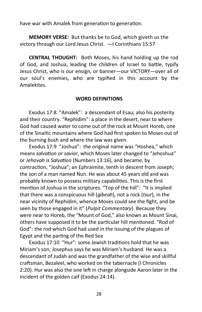have war with Amalek from generation to generation.

**MEMORY VERSE:** But thanks be to God, which giveth us the victory through our Lord Jesus Christ. —I Corinthians 15:57

**CENTRAL THOUGHT:** Both Moses, his hand holding up the rod of God, and Joshua, leading the children of Israel to battle, typify Jesus Christ, who is our ensign, or banner—our VICTORY—over all of our soul's enemies, who are typified in this account by the Amalekites.

# **WORD DEFINITIONS**

Exodus 17:8 "Amalek": a descendant of Esau; also his posterity and their country. "Rephidim": a place in the desert, near to where God had caused water to come out of the rock at Mount Horeb, one of the Sinaitic mountains where God had first spoken to Moses out of the burning bush and where the law was given.

Exodus 17:9 "Joshua": the original name was "Hoshea," which means *salvation* or *savior*, which Moses later changed to "Jehoshua" or *Jehovah is Salvation* (Numbers 13:16), and became, by contraction, "Joshua"; an Ephraimite, tenth in descent from Joseph; the son of a man named Nun. He was about 45 years old and was probably known to possess military capabilities. This is the first mention of Joshua in the scriptures. "Top of the hill": "It is implied that there was a conspicuous hill (*gibeah*), not a rock (*tsur*), in the near vicinity of Rephidim, whence Moses could see the fight, and be seen by those engaged in it" (*Pulpit Commentary*). Because they were near to Horeb, the "Mount of God," also known as Mount Sinai, others have supposed it to be the particular hill mentioned. "Rod of God": the rod which God had used in the issuing of the plagues of Egypt and the parting of the Red Sea

Exodus 17:10 "Hur": some Jewish traditions hold that he was Miriam's son; Josephus says he was Miriam's husband. He was a descendant of Judah and was the grandfather of the wise and skillful craftsman, Bezaleel, who worked on the tabernacle (I Chronicles 2:20). Hur was also the one left in charge alongside Aaron later in the incident of the golden calf (Exodus 24:14).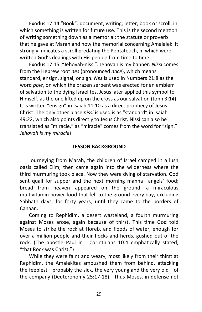Exodus 17:14 "Book": document; writing; letter; book or scroll, in which something is written for future use. This is the second mention of writing something down as a memorial: the statute or proverb that he gave at Marah and now the memorial concerning Amalalek. It strongly indicates a scroll predating the Pentateuch, in which were written God's dealings with His people from time to time.

Exodus 17:15 "Jehovah-nissi": Jehovah is my banner. *Nissi* comes from the Hebrew root *nes* (pronounced *nace*), which means standard, ensign, signal, or sign. *Nes* is used in Numbers 21:8 as the word *pole*, on which the brazen serpent was erected for an emblem of salvation to the dying Israelites. Jesus later applied this symbol to Himself, as the one lifted up on the cross as our salvation (John 3:14). It is written "ensign" in Isaiah 11:10 as a direct prophecy of Jesus Christ. The only other place *nissi* is used is as "standard" in Isaiah 49:22, which also points directly to Jesus Christ. Nissi can also be translated as "miracle," as "miracle" comes from the word for "sign." *Jehovah is my miracle!*

#### **LESSON BACKGROUND**

Journeying from Marah, the children of Israel camped in a lush oasis called Elim; then came again into the wilderness where the third murmuring took place. Now they were dying of starvation. God sent quail for supper and the next morning manna—angels' food; bread from heaven—appeared on the ground, a miraculous multivitamin power food that fell to the ground every day, excluding Sabbath days, for forty years, until they came to the borders of Canaan.

Coming to Rephidim, a desert wasteland, a fourth murmuring against Moses arose, again because of thirst. This time God told Moses to strike the rock at Horeb, and floods of water, enough for over a million people and their flocks and herds, gushed out of the rock. (The apostle Paul in I Corinthians 10:4 emphatically stated, "that Rock was Christ.")

While they were faint and weary, most likely from their thirst at Rephidim, the Amalekites ambushed them from behind, attacking the feeblest—probably the sick, the very young and the very old—of the company (Deuteronomy 25:17-18). Thus Moses, in defense not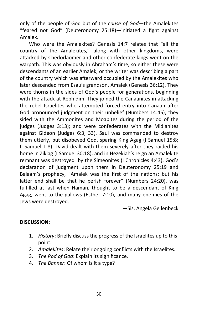only of the people of God but of the *cause of God*—the Amalekites "feared not God" (Deuteronomy 25:18)—initiated a fight against Amalek.

Who were the Amalekites? Genesis 14:7 relates that "all the country of the Amalekites," along with other kingdoms, were attacked by Chedorlaomer and other confederate kings went on the warpath. This was obviously in Abraham's time, so either these were descendants of an earlier Amalek, or the writer was describing a part of the country which was afterward occupied by the Amalekites who later descended from Esau's grandson, Amalek (Genesis 36:12). They were thorns in the sides of God's people for generations, beginning with the attack at Rephidim. They joined the Canaanites in attacking the rebel Israelites who attempted forced entry into Canaan after God pronounced judgment on their unbelief (Numbers 14:45); they sided with the Ammonites and Moabites during the period of the judges (Judges 3:13); and were confederates with the Midianites against Gideon (Judges 6:3, 33). Saul was commanded to destroy them utterly, but disobeyed God, sparing King Agag (I Samuel 15:8; II Samuel 1:8). David dealt with them severely after they raided his home in Ziklag (I Samuel 30:18), and in Hezekiah's reign an Amalekite remnant was destroyed by the Simeonites (I Chronicles 4:43). God's declaration of judgment upon them in Deuteronomy 25:19 and Balaam's prophecy, "Amalek was the first of the nations; but his latter end shall be that he perish forever" (Numbers 24:20), was fulfilled at last when Haman, thought to be a descendant of King Agag, went to the gallows (Esther 7:10), and many enemies of the Jews were destroyed.

—Sis. Angela Gellenbeck

# **DISCUSSION:**

- 1. *History*: Briefly discuss the progress of the Israelites up to this point.
- 2. *Amalekites*: Relate their ongoing conflicts with the Israelites.
- 3. *The Rod of God*: Explain its significance.
- 4. *The Banner*: Of whom is it a type?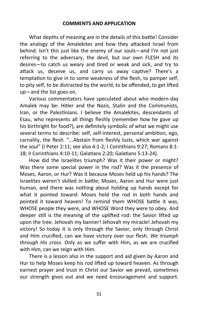#### **COMMENTS AND APPLICATION**

What depths of meaning are in the details of this battle! Consider the analogy of the Amalekites and how they attacked Israel from behind. Isn't this just like the enemy of our souls—and I'm not just referring to the adversary, the devil, but our own FLESH and its desires—to catch us weary and tired or weak and sick, and try to attack us, deceive us, and carry us away captive? There's a temptation to give in to some weakness of the flesh, to pamper self, to pity self, to be distracted by the world, to be offended, to get lifted up—and the list goes on.

Various commentators have speculated about who modern-day Amalek may be: Hitler and the Nazis, Stalin and the Communists, Iran, or the Palestinians. I believe the Amalekites, descendants of Esau, who represents all things fleshly (remember how he gave up his birthright for food?), are definitely symbolic of what we might use several terms to describe: self, self-interest, personal ambition, ego, carnality, the flesh. "...Abstain from fleshly lusts, which war against the soul" (I Peter 2:11; see also 4:1-2; I Corinthians 9:27; Romans 8:1- 18; II Corinthians 4:10-11; Galatians 2:20; Galatians 5:13-24).

How did the Israelites triumph? Was it their power or might? Was there some special power in the rod? Was it the presence of Moses, Aaron, or Hur? Was it because Moses held up his hands? The Israelites weren't skilled in battle; Moses, Aaron and Hur were just human, and there was nothing about holding up hands except for what it pointed toward: Moses held the rod in both hands and pointed it toward heaven! To remind them WHOSE battle it was, WHOSE people they were, and WHOSE Word they were to obey. And deeper still is the meaning of the uplifted rod: the Savior lifted up upon the tree. Jehovah my banner! Jehovah my miracle! Jehovah my victory! So today it is only through the Savior, only through Christ and Him crucified, can we have victory over our flesh. *We triumph through His cross.* Only as we suffer with Him, as we are crucified with Him, can we reign with Him.

There is a lesson also in the support and aid given by Aaron and Hur to help Moses keep his rod lifted up toward heaven. As through earnest prayer and trust in Christ our Savior we prevail, sometimes our strength gives out and we need encouragement and support.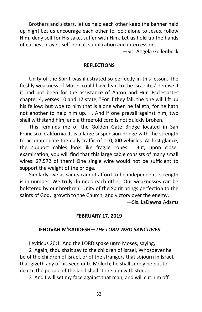Brothers and sisters, let us help each other keep the banner held up high! Let us encourage each other to look alone to Jesus, follow Him, deny self for His sake, suffer with Him. Let us hold up the hands of earnest prayer, self-denial, supplication and intercession.

—Sis. Angela Gellenbeck

#### **REFLECTIONS**

Unity of the Spirit was illustrated so perfectly in this lesson. The fleshly weakness of Moses could have lead to the Israelites' demise if it had not been for the assistance of Aaron and Hur. Ecclesiastes chapter 4, verses 10 and 12 state, "For if they fall, the one will lift up his fellow: but woe to him that is alone when he falleth; for he hath not another to help him up. . . And if one prevail against him, two shall withstand him; and a threefold cord is not quickly broken."

This reminds me of the Golden Gate Bridge located in San Francisco, California. It is a large suspension bridge with the strength to accommodate the daily traffic of 110,000 vehicles. At first glance, the support cables look like fragile ropes. But, upon closer examination, you will find that this large cable consists of many small wires: 27,572 of them! One single wire would not be sufficient to support the weight of the bridge.

Similarly, we as saints cannot afford to be independent; strength is in number. We truly do need each other. Our weaknesses can be bolstered by our brethren. Unity of the Spirit brings perfection to the saints of God, growth to the Church, and victory over the enemy.

—Sis. LaDawna Adams

#### **FEBRUARY 17, 2019**

#### **JEHOVAH M'KADDESH—***THE LORD WHO SANCTIFIES*

Leviticus 20:1 And the LORD spake unto Moses, saying,

2 Again, thou shalt say to the children of Israel, Whosoever he be of the children of Israel, or of the strangers that sojourn in Israel, that giveth any of his seed unto Molech; he shall surely be put to death: the people of the land shall stone him with stones.

3 And I will set my face against that man, and will cut him off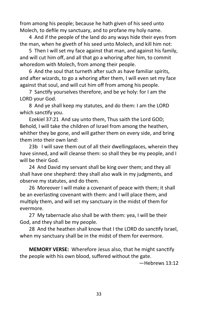from among his people; because he hath given of his seed unto Molech, to defile my sanctuary, and to profane my holy name.

4 And if the people of the land do any ways hide their eyes from the man, when he giveth of his seed unto Molech, and kill him not:

5 Then I will set my face against that man, and against his family, and will cut him off, and all that go a whoring after him, to commit whoredom with Molech, from among their people.

6 And the soul that turneth after such as have familiar spirits, and after wizards, to go a whoring after them, I will even set my face against that soul, and will cut him off from among his people.

7 Sanctify yourselves therefore, and be ye holy: for I am the LORD your God.

8 And ye shall keep my statutes, and do them: I am the LORD which sanctify you.

Ezekiel 37:21 And say unto them, Thus saith the Lord GOD; Behold, I will take the children of Israel from among the heathen, whither they be gone, and will gather them on every side, and bring them into their own land:

23b I will save them out of all their dwellingplaces, wherein they have sinned, and will cleanse them: so shall they be my people, and I will be their God.

24 And David my servant shall be king over them; and they all shall have one shepherd: they shall also walk in my judgments, and observe my statutes, and do them.

26 Moreover I will make a covenant of peace with them; it shall be an everlasting covenant with them: and I will place them, and multiply them, and will set my sanctuary in the midst of them for evermore.

27 My tabernacle also shall be with them: yea, I will be their God, and they shall be my people.

28 And the heathen shall know that I the LORD do sanctify Israel, when my sanctuary shall be in the midst of them for evermore.

**MEMORY VERSE:** Wherefore Jesus also, that he might sanctify the people with his own blood, suffered without the gate.

—Hebrews 13:12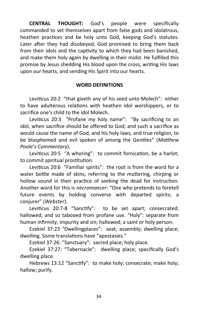**CENTRAL THOUGHT:** God's people were specifically commanded to set themselves apart from false gods and idolatrous, heathen practices and be holy unto God, keeping God's statutes. Later after they had disobeyed, God promised to bring them back from their idols and the captivity to which they had been banished, and make them holy again by dwelling in their midst. He fulfilled this promise by Jesus shedding His blood upon the cross, writing His laws upon our hearts, and sending His Spirit into our hearts.

#### **WORD DEFINITIONS**

Leviticus 20:2 "that giveth any of his seed unto Molech": either to have adulterous relations with heathen idol worshippers, or to sacrifice one's child to the idol Molech.

Leviticus 20:3 "Profane my holy name": "By sacrificing to an idol, when sacrifice should be offered to God; and such a sacrifice as would cause the name of God, and his holy laws, and true religion, to be blasphemed and evil spoken of among the Gentiles" (*Matthew Poole's Commentary*).

Leviticus 20:5 "A whoring": to commit fornication; be a harlot; to commit spiritual prostitution.

Leviticus 20:6 "Familiar spirits": the root is from the word for a water bottle made of skins, referring to the muttering, chirping or hollow sound in their practice of seeking the dead for instruction. Another word for this is *necromancer*: "One who pretends to foretell future events by holding converse with departed spirits; a conjurer" (*Webster*).

Leviticus 20:7-8 "Sanctify": to be set apart; consecrated; hallowed; and so tabooed from profane use. "Holy": separate from human infirmity, impurity and sin; hallowed; a saint or holy person.

Ezekiel 37:23 "Dwellingplaces": seat; assembly; dwelling place; dwelling. Some translations have "apostasies."

Ezekiel 37:26: "Sanctuary": sacred place; holy place.

Ezekiel 37:27: "Tabernacle": dwelling place; specifically God's dwelling place.

Hebrews 13:12 "Sanctify": to make holy; consecrate; make holy; hallow; purify.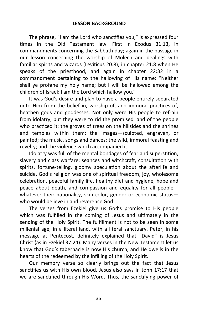The phrase, "I am the Lord who sanctifies you," is expressed four times in the Old Testament law. First in Exodus 31:13, in commandments concerning the Sabbath day; again in the passage in our lesson concerning the worship of Molech and dealings with familiar spirits and wizards (Leviticus 20:8); in chapter 21:8 when He speaks of the priesthood, and again in chapter 22:32 in a commandment pertaining to the hallowing of His name: "Neither shall ye profane my holy name; but I will be hallowed among the children of Israel: I am the Lord which hallow you."

It was God's desire and plan to have a people entirely separated unto Him from the belief in, worship of, and immoral practices of, heathen gods and goddesses. Not only were His people to refrain from idolatry, but they were to rid the promised land of the people who practiced it; the groves of trees on the hillsides and the shrines and temples within them; the images—sculpted, engraven, or painted; the music, songs and dances; the wild, immoral feasting and revelry; and the violence which accompanied it.

Idolatry was full of the mental bondages of fear and superstition; slavery and class warfare; seances and witchcraft, consultation with spirits, fortune-telling, gloomy speculation about the afterlife and suicide. God's religion was one of spiritual freedom, joy, wholesome celebration, peaceful family life, healthy diet and hygiene, hope and peace about death, and compassion and equality for all people whatever their nationality, skin color, gender or economic status who would believe in and reverence God.

The verses from Ezekiel give us God's promise to His people which was fulfilled in the coming of Jesus and ultimately in the sending of the Holy Spirit. The fulfillment is not to be seen in some millenial age, in a literal land, with a literal sanctuary. Peter, in his message at Pentecost, definitely explained that "David" is Jesus Christ (as in Ezekiel 37:24). Many verses in the New Testament let us know that God's tabernacle is now His church, and He dwells in the hearts of the redeemed by the infilling of the Holy Spirit.

Our memory verse so clearly brings out the fact that Jesus sanctifies us with His own blood. Jesus also says in John 17:17 that we are sanctified through His Word. Thus, the sanctifying power of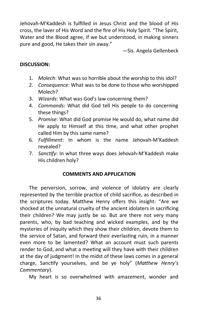Jehovah-M'Kaddesh is fulfilled in Jesus Christ and the blood of His cross, the laver of His Word and the fire of His Holy Spirit. "The Spirit, Water and the Blood agree, if we but understood, in making sinners pure and good, He takes their sin away."

—Sis. Angela Gellenbeck

# **DISCUSSION:**

- 1. *Molech*: What was so horrible about the worship to this idol?
- 2. *Consequence*: What was to be done to those who worshipped Molech?
- 3. *Wizards*: What was God's law concerning them?
- 4. *Commands*: What did God tell His people to do concerning these things?
- 5. *Promise*: What did God promise He would do, what name did He apply to Himself at this time, and what other prophet called Him by this same name?
- 6. *Fulfillment*: In whom is the name Jehovah-M'Kaddesh revealed?
- 7. *Sanctify*: In what three ways does Jehovah-M'Kaddesh make His children holy?

# **COMMENTS AND APPLICATION**

The perversion, sorrow, and violence of idolatry are clearly represented by the terrible practice of child sacrifice, as described in the scriptures today. Matthew Henry offers this insight: "Are we shocked at the unnatural cruelty of the ancient idolaters in sacrificing their children? We may justly be so. But are there not very many parents, who, by bad teaching and wicked examples, and by the mysteries of iniquity which they show their children, devote them to the service of Satan, and forward their everlasting ruin, in a manner even more to be lamented? What an account must such parents render to God, and what a meeting will they have with their children at the day of judgment! In the midst of these laws comes in a general charge, Sanctify yourselves, and be ye holy" (*Matthew Henry's Commentary*).

My heart is so overwhelmed with amazement, wonder and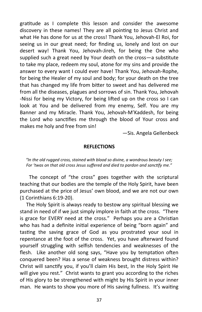gratitude as I complete this lesson and consider the awesome discovery in these names! They are all pointing to Jesus Christ and what He has done for us at the cross! Thank You, Jehovah-El Roi, for seeing us in our great need; for finding us, lonely and lost on our desert way! Thank You, Jehovah-Jireh, for being the One who supplied such a great need by Your death on the cross—a substitute to take my place, redeem my soul, atone for my sins and provide the answer to every want I could ever have! Thank You, Jehovah-Rophe, for being the Healer of my soul and body; for your death on the tree that has changed my life from bitter to sweet and has delivered me from all the diseases, plagues and sorrows of sin. Thank You, Jehovah -Nissi for being my Victory, for being lifted up on the cross so I can look at You and be delivered from my enemy, Self. You are my Banner and my Miracle. Thank You, Jehovah-M'Kaddesh, for being the Lord who sanctifies me through the blood of Your cross and makes me holy and free from sin!

—Sis. Angela Gellenbeck

#### **REFLECTIONS**

*"In the old rugged cross, stained with blood so divine, a wondrous beauty I see; For 'twas on that old cross Jesus suffered and died to pardon and sanctify me."*

The concept of "the cross" goes together with the scriptural teaching that our bodies are the temple of the Holy Spirit, have been purchased at the price of Jesus' own blood, and we are not our own (1 Corinthians 6:19-20).

 The Holy Spirit is always ready to bestow any spiritual blessing we stand in need of if we just simply implore in faith at the cross. "There is grace for EVERY need at the cross." Perhaps you are a Christian who has had a definite initial experience of being "born again" and tasting the saving grace of God as you prostrated your soul in repentance at the foot of the cross. Yet, you have afterward found yourself struggling with selfish tendencies and weaknesses of the flesh. Like another old song says, "Have you by temptation often conquered been? Has a sense of weakness brought distress within? Christ will sanctify you, if you'll claim His best, In the Holy Spirit He will give you rest." Christ wants to grant you according to the riches of His glory to be strengthened with might by His Spirit in your inner man. He wants to show you more of His saving fullness. It's waiting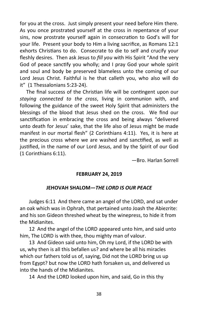for you at the cross. Just simply present your need before Him there. As you once prostrated yourself at the cross in repentance of your sins, now prostrate yourself again in consecration to God's will for your life. Present your body to Him a living sacrifice, as Romans 12:1 exhorts Christians to do. Consecrate to die to self and crucify your fleshly desires. Then ask Jesus to *fill you* with His Spirit "And the very God of peace sanctify you wholly; and I pray God your whole spirit and soul and body be preserved blameless unto the coming of our Lord Jesus Christ. Faithful is he that calleth you, who also will do it" (1 Thessalonians 5:23-24).

 The final success of the Christian life will be contingent upon our *staying connected to the cross*, living in communion with, and following the guidance of the sweet Holy Spirit that administers the blessings of the blood that Jesus shed on the cross. We find our sanctification in embracing the cross and being always "delivered unto death for Jesus' sake, that the life also of Jesus might be made manifest in our mortal flesh" (2 Corinthians 4:11). Yes, it is here at the precious cross where we are washed and sanctified, as well as justified, in the name of our Lord Jesus, and by the Spirit of our God (1 Corinthians 6:11).

—Bro. Harlan Sorrell

### **FEBRUARY 24, 2019**

# **JEHOVAH SHALOM—***THE LORD IS OUR PEACE*

Judges 6:11 And there came an angel of the LORD, and sat under an oak which was in Ophrah, that pertained unto Joash the Abiezrite: and his son Gideon threshed wheat by the winepress, to hide it from the Midianites.

12 And the angel of the LORD appeared unto him, and said unto him, The LORD is with thee, thou mighty man of valour.

13 And Gideon said unto him, Oh my Lord, if the LORD be with us, why then is all this befallen us? and where be all his miracles which our fathers told us of, saying, Did not the LORD bring us up from Egypt? but now the LORD hath forsaken us, and delivered us into the hands of the Midianites.

14 And the LORD looked upon him, and said, Go in this thy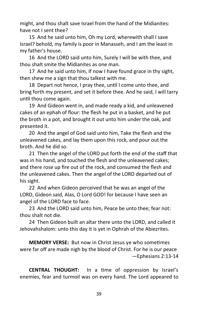might, and thou shalt save Israel from the hand of the Midianites: have not I sent thee?

15 And he said unto him, Oh my Lord, wherewith shall I save Israel? behold, my family is poor in Manasseh, and I am the least in my father's house.

16 And the LORD said unto him, Surely I will be with thee, and thou shalt smite the Midianites as one man.

17 And he said unto him, If now I have found grace in thy sight, then shew me a sign that thou talkest with me.

18 Depart not hence, I pray thee, until I come unto thee, and bring forth my present, and set it before thee. And he said, I will tarry until thou come again.

19 And Gideon went in, and made ready a kid, and unleavened cakes of an ephah of flour: the flesh he put in a basket, and he put the broth in a pot, and brought it out unto him under the oak, and presented it.

20 And the angel of God said unto him, Take the flesh and the unleavened cakes, and lay them upon this rock, and pour out the broth. And he did so.

21 Then the angel of the LORD put forth the end of the staff that was in his hand, and touched the flesh and the unleavened cakes; and there rose up fire out of the rock, and consumed the flesh and the unleavened cakes. Then the angel of the LORD departed out of his sight.

22 And when Gideon perceived that he was an angel of the LORD, Gideon said, Alas, O Lord GOD! for because I have seen an angel of the LORD face to face.

23 And the LORD said unto him, Peace be unto thee; fear not: thou shalt not die.

24 Then Gideon built an altar there unto the LORD, and called it Jehovahshalom: unto this day it is yet in Ophrah of the Abiezrites.

**MEMORY VERSE:** But now in Christ Jesus ye who sometimes were far off are made nigh by the blood of Christ. For he is our peace —Ephesians 2:13-14

**CENTRAL THOUGHT:** In a time of oppression by Israel's enemies, fear and turmoil was on every hand. The Lord appeared to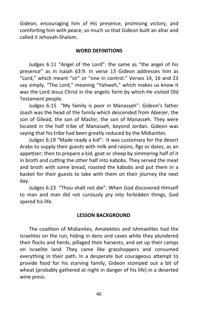Gideon, encouraging him of His presence, promising victory, and comforting him with peace; so much so that Gideon built an altar and called it Jehovah-Shalom.

### **WORD DEFINITIONS**

Judges 6:11 "Angel of the Lord": the same as "the angel of his presence" as in Isaiah 63:9. In verse 13 Gideon addresses him as "Lord," which meant "sir" or "one in control." Verses 14, 16 and 23 say simply, "The Lord," meaning "Yahweh," which makes us know it was the Lord Jesus Christ in the angelic form by which He visited Old Testament people.

Judges 6:15 "My family is poor in Manasseh": Gideon's father Joash was the head of the family which descended from Abiezer, the son of Gilead, the son of Machir, the son of Manasseh. They were located in the half tribe of Manasseh, beyond Jordan. Gideon was saying that his tribe had been greatly reduced by the Midianites.

Judges 6:19 "Made ready a kid": It was customary for the desert Arabs to supply their guests with milk and raisins, figs or dates, as an appetizer; then to prepare a kid, goat or sheep by simmering half of it in broth and cutting the other half into kabobs. They served the meat and broth with some bread, roasted the kabobs and put them in a basket for their guests to take with them on their journey the next day.

Judges 6:23 "Thou shalt not die": When God discovered Himself to man and man did not curiously pry into forbidden things, God spared his life.

### **LESSON BACKGROUND**

The coalition of Midianites, Amalekites and Ishmaelites had the Israelites on the run, hiding in dens and caves while they plundered their flocks and herds, pillaged their harvests, and set up their camps on Israelite land. They came like grasshoppers and consumed everything in their path. In a desperate but courageous attempt to provide food for his starving family, Gideon stomped out a bit of wheat (probably gathered at night in danger of his life) in a deserted wine press.

40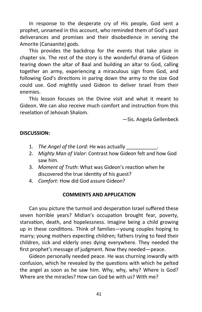In response to the desperate cry of His people, God sent a prophet, unnamed in this account, who reminded them of God's past deliverances and promises and their disobedience in serving the Amorite (Canaanite) gods.

This provides the backdrop for the events that take place in chapter six. The rest of the story is the wonderful drama of Gideon tearing down the altar of Baal and building an altar to God, calling together an army, experiencing a miraculous sign from God, and following God's directions in paring down the army to the size God could use. God mightily used Gideon to deliver Israel from their enemies.

This lesson focuses on the Divine visit and what it meant to Gideon. We can also receive much comfort and instruction from this revelation of Jehovah Shalom.

—Sis. Angela Gellenbeck

## **DISCUSSION:**

- 1. *The Angel of the Lord*: He was actually
- 2. *Mighty Man of Valor*: Contrast how Gideon felt and how God saw him.
- 3. *Moment of Truth*: What was Gideon's reaction when he discovered the true identity of his guest?
- 4. *Comfort*: How did God assure Gideon?

### **COMMENTS AND APPLICATION**

Can you picture the turmoil and desperation Israel suffered these seven horrible years? Midian's occupation brought fear, poverty, starvation, death, and hopelessness. Imagine being a child growing up in these conditions. Think of families—young couples hoping to marry; young mothers expecting children; fathers trying to feed their children, sick and elderly ones dying everywhere. They needed the first prophet's message of judgment. Now they needed—peace.

Gideon personally needed peace. He was churning inwardly with confusion, which he revealed by the questions with which he pelted the angel as soon as he saw him. Why, why, why? Where is God? Where are the miracles? How can God be with us? With me?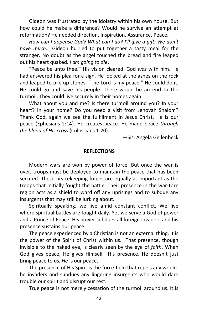Gideon was frustrated by the idolatry within his own house. But how could he make a difference? Would he survive an attempt at reformation? He needed direction. Inspiration. Assurance. Peace.

*How can I appease God? What can I do? I'll give a gift. We don't have much*… Gideon hurried to put together a tasty meal for the stranger. No doubt as the angel touched the bread and fire leaped out his heart quaked. *I am going to die*.

"Peace be unto thee." His vision cleared. God *was* with him. He had answered his plea for a sign. He looked at the ashes on the rock and leaped to pile up stones. "The Lord is my peace." He could do it. He could go and save his people. There would be an end to the turmoil. They could live securely in their homes again.

What about you and me? Is there turmoil around you? In your heart? In your home? Do you need a visit from Jehovah Shalom? Thank God, again we see the fulfillment in Jesus Christ. He is our peace (Ephesians 2:14). He creates peace. He made peace *through the blood of His cross* (Colossians 1:20).

—Sis. Angela Gellenbeck

#### **REFLECTIONS**

Modern wars are won by power of force. But once the war is over, troops must be deployed to maintain the peace that has been secured. These peacekeeping forces are equally as important as the troops that initially fought the battle. Their presence in the war-torn region acts as a shield to ward off any uprisings and to subdue any insurgents that may still be lurking about.

Spiritually speaking, we live amid constant conflict. We live where spiritual battles are fought daily. Yet we serve a God of power and a Prince of Peace. His power subdues all foreign invaders and his presence sustains our peace.

The peace experienced by a Christian is not an external thing. It is the power of the Spirit of Christ within us. That presence, though invisible to the naked eye, is clearly seen by the eye of *faith*. When God gives peace, He gives Himself—His presence. He doesn't just bring peace to us, *He* is our peace.

The presence of His Spirit is the force-field that repels any wouldbe invaders and subdues any lingering insurgents who would dare trouble our spirit and disrupt our rest.

True peace is not merely cessation of the turmoil around us. It is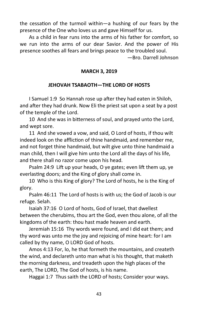the cessation of the turmoil within—a hushing of our fears by the presence of the One who loves us and gave Himself for us.

As a child in fear runs into the arms of his father for comfort, so we run into the arms of our dear Savior. And the power of His presence soothes all fears and brings peace to the troubled soul.

—Bro. Darrell Johnson

# **MARCH 3, 2019**

### **JEHOVAH TSABAOTH—THE LORD OF HOSTS**

I Samuel 1:9 So Hannah rose up after they had eaten in Shiloh, and after they had drunk. Now Eli the priest sat upon a seat by a post of the temple of the Lord.

10 And she was in bitterness of soul, and prayed unto the Lord, and wept sore.

11 And she vowed a vow, and said, O Lord of hosts, if thou wilt indeed look on the affliction of thine handmaid, and remember me, and not forget thine handmaid, but wilt give unto thine handmaid a man child, then I will give him unto the Lord all the days of his life, and there shall no razor come upon his head.

Psalm 24:9 Lift up your heads, O ye gates; even lift them up, ye everlasting doors; and the King of glory shall come in.

10 Who is this King of glory? The Lord of hosts, he is the King of glory.

Psalm 46:11 The Lord of hosts is with us; the God of Jacob is our refuge. Selah.

Isaiah 37:16 O Lord of hosts, God of Israel, that dwellest between the cherubims, thou art the God, even thou alone, of all the kingdoms of the earth: thou hast made heaven and earth.

Jeremiah 15:16 Thy words were found, and I did eat them; and thy word was unto me the joy and rejoicing of mine heart: for I am called by thy name, O LORD God of hosts.

Amos 4:13 For, lo, he that formeth the mountains, and createth the wind, and declareth unto man what is his thought, that maketh the morning darkness, and treadeth upon the high places of the earth, The LORD, The God of hosts, is his name.

Haggai 1:7 Thus saith the LORD of hosts; Consider your ways.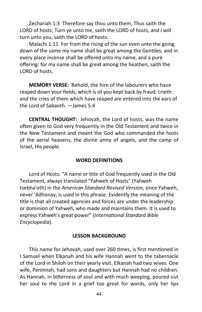Zechariah 1:3 Therefore say thou unto them, Thus saith the LORD of hosts; Turn ye unto me, saith the LORD of hosts, and I will turn unto you, saith the LORD of hosts.

Malachi 1:11 For from the rising of the sun even unto the going down of the same my name shall be great among the Gentiles; and in every place incense shall be offered unto my name, and a pure offering: for my name shall be great among the heathen, saith the LORD of hosts.

**MEMORY VERSE:** Behold, the hire of the labourers who have reaped down your fields, which is of you kept back by fraud, crieth: and the cries of them which have reaped are entered into the ears of the Lord of Sabaoth. —James 5:4

**CENTRAL THOUGHT:** Jehovah, the Lord of hosts, was the name often given to God very frequently in the Old Testament and twice in the New Testament and meant the God who commanded the hosts of the aerial heavens, the divine army of angels, and the camp of Israel, His people.

### **WORD DEFINITIONS**

Lord of Hosts: "A name or title of God frequently used in the Old Testament, always translated "Yahweh of Hosts" (Yahweh tsebha'oth) in the *American Standard Revised Version*, since Yahweh, never 'Adhonay, is used in this phrase. Evidently the meaning of the title is that all created agencies and forces are under the leadership or dominion of Yahweh, who made and maintains them. It is used to express Yahweh's great power" (*International Standard Bible Encyclopedia*).

### **LESSON BACKGROUND**

This name for Jehovah, used over 260 times, is first mentioned in I Samuel when Elkanah and his wife Hannah went to the tabernacle of the Lord in Shiloh on their yearly visit. Elkanah had two wives. One wife, Peninnah, had sons and daughters but Hannah had no children. As Hannah, in bitterness of soul and with much weeping, poured out her soul to the Lord in a grief too great for words, only her lips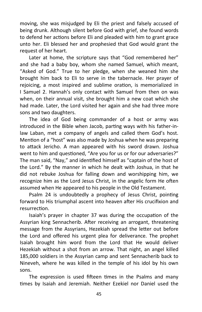moving, she was misjudged by Eli the priest and falsely accused of being drunk. Although silent before God with grief, she found words to defend her actions before Eli and pleaded with him to grant grace unto her. Eli blessed her and prophesied that God would grant the request of her heart.

Later at home, the scripture says that "God remembered her" and she had a baby boy, whom she named Samuel, which meant, "Asked of God." True to her pledge, when she weaned him she brought him back to Eli to serve in the tabernacle. Her prayer of rejoicing, a most inspired and sublime oration, is memorialized in I Samuel 2. Hannah's only contact with Samuel from then on was when, on their annual visit, she brought him a new coat which she had made. Later, the Lord visited her again and she had three more sons and two daughters.

The idea of God being commander of a host or army was introduced in the Bible when Jacob, parting ways with his father-inlaw Laban, met a company of angels and called them God's host. Mention of a "host" was also made by Joshua when he was preparing to attack Jericho. A man appeared with his sword drawn. Joshua went to him and questioned, "Are you for us or for our adversaries?" The man said, "Nay," and identified himself as "captain of the host of the Lord." By the manner in which he dealt with Joshua, in that he did not rebuke Joshua for falling down and worshipping him, we recognize him as the Lord Jesus Christ, in the angelic form He often assumed when He appeared to his people in the Old Testament.

Psalm 24 is undoubtedly a prophecy of Jesus Christ, pointing forward to His triumphal ascent into heaven after His crucifixion and resurrection.

Isaiah's prayer in chapter 37 was during the occupation of the Assyrian king Sennacherib. After receiving an arrogant, threatening message from the Assyrians, Hezekiah spread the letter out before the Lord and offered his urgent plea for deliverance. The prophet Isaiah brought him word from the Lord that He would deliver Hezekiah without a shot from an arrow. That night, an angel killed 185,000 soldiers in the Assyrian camp and sent Sennacherib back to Nineveh, where he was killed in the temple of his idol by his own sons.

The expression is used fifteen times in the Psalms and many times by Isaiah and Jeremiah. Neither Ezekiel nor Daniel used the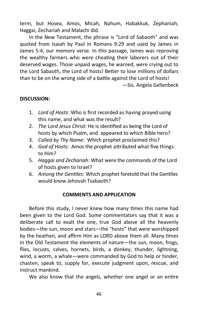term, but Hosea, Amos, Micah, Nahum, Habakkuk, Zephaniah, Haggai, Zechariah and Malachi did.

In the New Testament, the phrase is "Lord of Sabaoth" and was quoted from Isaiah by Paul in Romans 9:29 and used by James in James 5:4, our memory verse. In this passage, James was reproving the wealthy farmers who were cheating their laborers out of their deserved wages. Those unpaid wages, he warned, were crying out to the Lord Sabaoth, the Lord of hosts! Better to lose millions of dollars than to be on the wrong side of a battle against the Lord of hosts! —Sis. Angela Gellenbeck

# **DISCUSSION:**

- 1. *Lord of Hosts*: Who is first recorded as having prayed using this name, and what was the result?
- 2. *The Lord Jesus Christ*: He is identified as being the Lord of hosts by which Psalm, and appeared to which Bible hero?
- 3. *Called by Thy Name*: Which prophet proclaimed this?
- 4. *God of Hosts*: Amos the prophet attributed what five things to Him?
- 5. *Haggai and Zechariah*: What were the commands of the Lord of hosts given to Israel?
- 6. *Among the Gentiles*: Which prophet foretold that the Gentiles would know Jehovah Tsabaoth?

# **COMMENTS AND APPLICATION**

Before this study, I never knew how many times this name had been given to the Lord God. Some commentators say that it was a deliberate call to exalt the one, true God above all the heavenly bodies—the sun, moon and stars—the "hosts" that were worshipped by the heathen, and affirm Him as LORD above them all. Many times in the Old Testament the elements of nature—the sun, moon, frogs, flies, locusts, calves, hornets, birds, a donkey, thunder, lightning, wind, a worm, a whale—were commanded by God to help or hinder, chasten, speak to, supply for, execute judgment upon, rescue, and instruct mankind.

We also know that the angels, whether one angel or an entire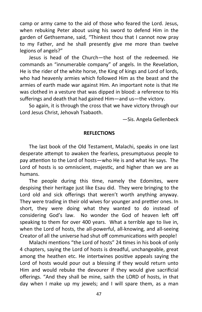camp or army came to the aid of those who feared the Lord. Jesus, when rebuking Peter about using his sword to defend Him in the garden of Gethsemane, said, "Thinkest thou that I cannot now pray to my Father, and he shall presently give me more than twelve legions of angels?"

Jesus is head of the Church—the host of the redeemed. He commands an "innumerable company" of angels. In the Revelation, He is the rider of the white horse, the King of kings and Lord of lords, who had heavenly armies which followed Him as the beast and the armies of earth made war against Him. An important note is that He was clothed in a vesture that was dipped in blood: a reference to His sufferings and death that had gained Him—and us—the victory.

So again, it is through the cross that we have victory through our Lord Jesus Christ, Jehovah Tsabaoth.

—Sis. Angela Gellenbeck

### **REFLECTIONS**

The last book of the Old Testament, Malachi, speaks in one last desperate attempt to awaken the fearless, presumptuous people to pay attention to the Lord of hosts—who He is and what He says. The Lord of hosts is so omniscient, majestic, and higher than we are as humans.

The people during this time, namely the Edomites, were despising their heritage just like Esau did. They were bringing to the Lord old and sick offerings that weren't worth anything anyway. They were trading in their old wives for younger and prettier ones. In short, they were doing what they wanted to do instead of considering God's law. No wonder the God of heaven left off speaking to them for over 400 years. What a terrible age to live in, when the Lord of hosts, the all-powerful, all-knowing, and all-seeing Creator of all the universe had shut off communications with people!

Malachi mentions "the Lord of hosts" 24 times in his book of only 4 chapters, saying the Lord of hosts is dreadful, unchangeable, great among the heathen etc. He intertwines positive appeals saying the Lord of hosts would pour out a blessing if they would return unto Him and would rebuke the devourer if they would give sacrificial offerings. "And they shall be mine, saith the LORD of hosts, in that day when I make up my jewels; and I will spare them, as a man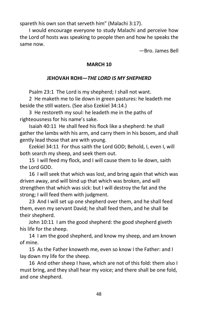spareth his own son that serveth him" (Malachi 3:17).

I would encourage everyone to study Malachi and perceive how the Lord of hosts was speaking to people then and how he speaks the same now.

—Bro. James Bell

# **MARCH 10**

# **JEHOVAH ROHI—***THE LORD IS MY SHEPHERD*

Psalm 23:1 The Lord is my shepherd; I shall not want.

2 He maketh me to lie down in green pastures: he leadeth me beside the still waters. (See also Ezekiel 34:14.)

3 He restoreth my soul: he leadeth me in the paths of righteousness for his name's sake.

Isaiah 40:11 He shall feed his flock like a shepherd: he shall gather the lambs with his arm, and carry them in his bosom, and shall gently lead those that are with young.

Ezekiel 34:11 For thus saith the Lord GOD; Behold, I, even I, will both search my sheep, and seek them out.

15 I will feed my flock, and I will cause them to lie down, saith the Lord GOD.

16 I will seek that which was lost, and bring again that which was driven away, and will bind up that which was broken, and will strengthen that which was sick: but I will destroy the fat and the strong; I will feed them with judgment.

23 And I will set up one shepherd over them, and he shall feed them, even my servant David; he shall feed them, and he shall be their shepherd.

John 10:11 I am the good shepherd: the good shepherd giveth his life for the sheep.

14 I am the good shepherd, and know my sheep, and am known of mine.

15 As the Father knoweth me, even so know I the Father: and I lay down my life for the sheep.

16 And other sheep I have, which are not of this fold: them also I must bring, and they shall hear my voice; and there shall be one fold, and one shepherd.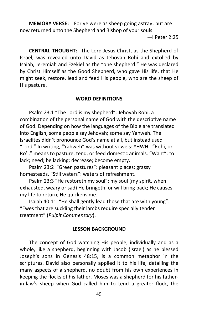**MEMORY VERSE:** For ye were as sheep going astray; but are now returned unto the Shepherd and Bishop of your souls.

—I Peter 2:25

**CENTRAL THOUGHT:** The Lord Jesus Christ, as the Shepherd of Israel, was revealed unto David as Jehovah Rohi and extolled by Isaiah, Jeremiah and Ezekiel as the "one shepherd." He was declared by Christ Himself as the Good Shepherd, who gave His life, that He might seek, restore, lead and feed His people, who are the sheep of His pasture.

## **WORD DEFINITIONS**

Psalm 23:1 "The Lord is my shepherd": Jehovah Rohi, a combination of the personal name of God with the descriptive name of God. Depending on how the languages of the Bible are translated into English, some people say Jehovah; some say Yahweh. The Israelites didn't pronounce God's name at all, but instead used "Lord." In writing, "Yahweh" was without vowels: YHWH. "Rohi, or Ro'i," means to pasture, tend, or feed domestic animals. "Want": to lack; need; be lacking; decrease; become empty.

Psalm 23:2 "Green pastures": pleasant places; grassy homesteads. "Still waters": waters of refreshment.

Psalm 23:3 "He restoreth my soul": my soul (my spirit, when exhausted, weary or sad) He bringeth, or will bring back; He causes my life to return; He quickens me.

Isaiah 40:11 "He shall gently lead those that are with young": "Ewes that are suckling their lambs require specially tender treatment" (*Pulpit Commentary*).

## **LESSON BACKGROUND**

The concept of God watching His people, individually and as a whole, like a shepherd, beginning with Jacob (Israel) as he blessed Joseph's sons in Genesis 48:15, is a common metaphor in the scriptures. David also personally applied it to his life, detailing the many aspects of a shepherd, no doubt from his own experiences in keeping the flocks of his father. Moses was a shepherd for his fatherin-law's sheep when God called him to tend a greater flock, the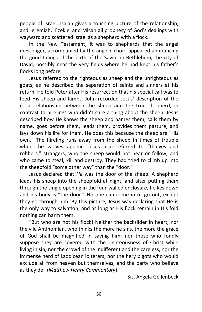people of Israel. Isaiah gives a touching picture of the relationship, and Jeremiah, Ezekiel and Micah all prophesy of God's dealings with wayward and scattered Israel as a shepherd with a flock.

In the New Testament, it was to shepherds that the angel messenger, accompanied by the angelic choir, appeared announcing the good tidings of the birth of the Savior in Bethlehem, the city of David, possibly near the very fields where he had kept his father's flocks long before.

Jesus referred to the righteous as sheep and the unrighteous as goats, as he described the separation of saints and sinners at his return. He told Peter after His resurrection that his special call was to feed His sheep and lambs. John recorded Jesus' description of the close relationship between the sheep and the true shepherd, in contrast to hirelings who didn't care a thing about the sheep. Jesus described how He knows the sheep and names them, calls them by name, goes before them, leads them, provides them pasture, and lays down his life for them. He does this because the sheep are "His own." The hireling runs away from the sheep in times of trouble when the wolves appear. Jesus also referred to "thieves and robbers," strangers, who the sheep would not hear or follow, and who came to steal, kill and destroy. They had tried to climb up into the sheepfold "some other way" than the "door."

Jesus declared that *He* was the door of the sheep. A shepherd leads his sheep into the sheepfold at night, and after putting them through the single opening in the four-walled enclosure, he lies down and his body is "the door." No one can come in or go out, except they go through him. By this picture, Jesus was declaring that He is the only way to salvation; and as long as His flock remain in His fold nothing can harm them.

"But who are not his flock! Neither the backslider in heart, nor the vile Antinomian, who thinks the more he sins, the more the grace of God shall be magnified in saving him; nor those who fondly suppose they are covered with the righteousness of Christ while living in sin; nor the crowd of the indifferent and the careless, nor the immense herd of Laodicean loiterers; nor the fiery bigots who would exclude all from heaven but themselves, and the party who believe as they do" (*Matthew Henry Commentary*).

—Sis. Angela Gellenbeck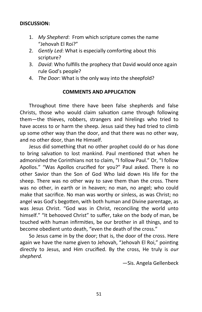## **DISCUSSION:**

- 1. *My Shepherd*: From which scripture comes the name "Jehovah El Roi?"
- 2. *Gently Led*: What is especially comforting about this scripture?
- 3. *David*: Who fulfills the prophecy that David would once again rule God's people?
- 4. *The Door*: What is the only way into the sheepfold?

## **COMMENTS AND APPLICATION**

Throughout time there have been false shepherds and false Christs, those who would claim salvation came through following them—the thieves, robbers, strangers and hirelings who tried to have access to or harm the sheep. Jesus said they had tried to climb up some other way than the door, and that there was no other way, and no other door, than He Himself.

Jesus did something that no other prophet could do or has done to bring salvation to lost mankind. Paul mentioned that when he admonished the Corinthians not to claim, "I follow Paul." Or, "I follow Apollos." "Was Apollos crucified for you?" Paul asked. There is no other Savior than the Son of God Who laid down His life for the sheep. There was no other way to save them than the cross. There was no other, in earth or in heaven; no man, no angel; who could make that sacrifice. No man was worthy or sinless, as was Christ; no angel was God's begotten, with both human and Divine parentage, as was Jesus Christ. "God was in Christ, reconciling the world unto himself." "It behooved Christ" to suffer, take on the body of man, be touched with human infirmities, be our brother in all things, and to become obedient unto death, "even the death of the cross."

So Jesus came in by the door; that is, the door of the cross. Here again we have the name given to Jehovah, "Jehovah El Roi," pointing directly to Jesus, and Him crucified. By the cross, He truly is *our shepherd.*

—Sis. Angela Gellenbeck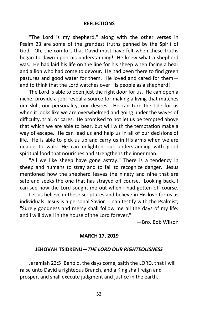#### **REFLECTIONS**

"The Lord is my shepherd," along with the other verses in Psalm 23 are some of the grandest truths penned by the Spirit of God. Oh, the comfort that David must have felt when these truths began to dawn upon his understanding! He knew what a shepherd was. He had laid his life on the line for his sheep when facing a bear and a lion who had come to devour. He had been there to find green pastures and good water for them. He loved and cared for them and to think that the Lord watches over His people as a shepherd!

The Lord is able to open just the right door for us. He can open a niche; provide a job; reveal a source for making a living that matches our skill, our personality, our desires. He can turn the tide for us when it looks like we are overwhelmed and going under the waves of difficulty, trial, or cares. He promised to not let us be tempted above that which we are able to bear, but will with the temptation make a way of escape. He can lead us and help us in all of our decisions of life. He is able to pick us up and carry us in His arms when we are unable to walk. He can enlighten our understanding with good spiritual food that nourishes and strengthens the inner man.

"All we like sheep have gone astray." There is a tendency in sheep and humans to stray and to fail to recognize danger. Jesus mentioned how the shepherd leaves the ninety and nine that are safe and seeks the one that has strayed off course. Looking back, I can see how the Lord sought me out when I had gotten off course.

Let us believe in these scriptures and believe in His love for us as individuals. Jesus is a personal Savior. I can testify with the Psalmist, "Surely goodness and mercy shall follow me all the days of my life: and I will dwell in the house of the Lord forever."

—Bro. Bob Wilson

#### **MARCH 17, 2019**

### **JEHOVAH TSIDKENU—***THE LORD OUR RIGHTEOUSNESS*

Jeremiah 23:5 Behold, the days come, saith the LORD, that I will raise unto David a righteous Branch, and a King shall reign and prosper, and shall execute judgment and justice in the earth.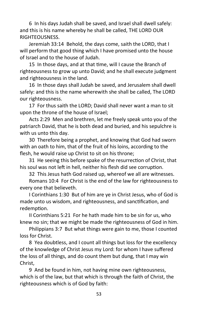6 In his days Judah shall be saved, and Israel shall dwell safely: and this is his name whereby he shall be called, THE LORD OUR RIGHTEOUSNESS.

Jeremiah 33:14 Behold, the days come, saith the LORD, that I will perform that good thing which I have promised unto the house of Israel and to the house of Judah.

15 In those days, and at that time, will I cause the Branch of righteousness to grow up unto David; and he shall execute judgment and righteousness in the land.

16 In those days shall Judah be saved, and Jerusalem shall dwell safely: and this is the name wherewith she shall be called, The LORD our righteousness.

17 For thus saith the LORD; David shall never want a man to sit upon the throne of the house of Israel;

Acts 2:29 Men and brethren, let me freely speak unto you of the patriarch David, that he is both dead and buried, and his sepulchre is with us unto this day.

30 Therefore being a prophet, and knowing that God had sworn with an oath to him, that of the fruit of his loins, according to the flesh, he would raise up Christ to sit on his throne;

31 He seeing this before spake of the resurrection of Christ, that his soul was not left in hell, neither his flesh did see corruption.

32 This Jesus hath God raised up, whereof we all are witnesses.

Romans 10:4 For Christ is the end of the law for righteousness to every one that believeth.

I Corinthians 1:30 But of him are ye in Christ Jesus, who of God is made unto us wisdom, and righteousness, and sanctification, and redemption.

II Corinthians 5:21 For he hath made him to be sin for us, who knew no sin; that we might be made the righteousness of God in him.

Philippians 3:7 But what things were gain to me, those I counted loss for Christ.

8 Yea doubtless, and I count all things but loss for the excellency of the knowledge of Christ Jesus my Lord: for whom I have suffered the loss of all things, and do count them but dung, that I may win Christ,

9 And be found in him, not having mine own righteousness, which is of the law, but that which is through the faith of Christ, the righteousness which is of God by faith: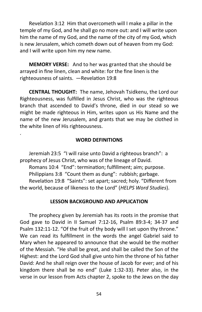Revelation 3:12 Him that overcometh will I make a pillar in the temple of my God, and he shall go no more out: and I will write upon him the name of my God, and the name of the city of my God, which is new Jerusalem, which cometh down out of heaven from my God: and I will write upon him my new name.

**MEMORY VERSE:** And to her was granted that she should be arrayed in fine linen, clean and white: for the fine linen is the righteousness of saints. —Revelation 19:8

**CENTRAL THOUGHT:** The name, Jehovah Tsidkenu, the Lord our Righteousness, was fulfilled in Jesus Christ, who was the righteous branch that ascended to David's throne, died in our stead so we might be made righteous in Him, writes upon us His Name and the name of the new Jerusalem, and grants that we may be clothed in the white linen of His righteousness.

### **WORD DEFINITIONS**

Jeremiah 23:5 "I will raise unto David a righteous branch": a prophecy of Jesus Christ, who was of the lineage of David.

.

Romans 10:4 "End": termination; fulfillment; aim; purpose.

Philippians 3:8 "Count them as dung": rubbish; garbage.

Revelation 19:8 "Saints": set apart; sacred; holy. "Different from the world, because of likeness to the Lord" (*HELPS Word Studies*).

### **LESSON BACKGROUND AND APPLICATION**

The prophecy given by Jeremiah has its roots in the promise that God gave to David in II Samuel 7:12-16, Psalm 89:3-4; 34-37 and Psalm 132:11-12. "Of the fruit of thy body will I set upon thy throne." We can read its fulfillment in the words the angel Gabriel said to Mary when he appeared to announce that she would be the mother of the Messiah. "He shall be great, and shall be called the Son of the Highest: and the Lord God shall give unto him the throne of his father David: And he shall reign over the house of Jacob for ever; and of his kingdom there shall be no end" (Luke 1:32-33). Peter also, in the verse in our lesson from Acts chapter 2, spoke to the Jews on the day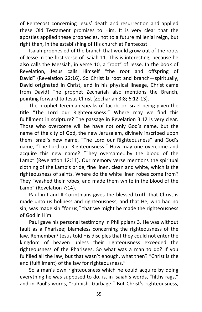of Pentecost concerning Jesus' death and resurrection and applied these Old Testament promises to Him. It is very clear that the apostles applied these prophecies, not to a future millenial reign, but right then, in the establishing of His church at Pentecost.

Isaiah prophesied of the branch that would grow out of the roots of Jesse in the first verse of Isaiah 11. This is interesting, because he also calls the Messiah, in verse 10, a "root" of Jesse. In the book of Revelation, Jesus calls Himself "the root and offspring of David" (Revelation 22:16). So Christ is root and branch—spiritually, David originated in Christ, and in his physical lineage, Christ came from David! The prophet Zechariah also mentions the Branch, pointing forward to Jesus Christ (Zechariah 3:8; 6:12-13).

The prophet Jeremiah speaks of Jacob, or Israel being given the title "The Lord our Righteousness." Where may we find this fulfillment in scripture? The passage in Revelation 3:12 is very clear. Those who overcome will be have not only God's name, but the name of the city of God, the new Jerusalem, divinely inscribed upon them Israel's new name, "The Lord our Righteousness" and God's name, "The Lord our Righteousness." How may one overcome and acquire this new name? "They overcame...by the blood of the Lamb" (Revelation 12:11). Our memory verse mentions the spiritual clothing of the Lamb's bride, fine linen, clean and white, which is the righteousness of saints. Where do the white linen robes come from? They "washed their robes, and made them white in the blood of the Lamb" (Revelation 7:14).

Paul in I and II Corinthians gives the blessed truth that Christ is made unto us holiness and righteousness, and that He, who had no sin, was made sin "for us," that we might be made the righteousness of God in Him.

Paul gave his personal testimony in Philippians 3. He was without fault as a Pharisee; blameless concerning the righteousness of the law. Remember? Jesus told His disciples that they could not enter the kingdom of heaven unless their righteousness exceeded the righteousness of the Pharisees. So what was a man to do? If you fulfilled all the law, but that wasn't enough, what then? "Christ is the end (fulfillment) of the law for righteousness."

So a man's own righteousness which he could acquire by doing everything he was supposed to do, is, in Isaiah's words, "filthy rags," and in Paul's words, "rubbish. Garbage." But Christ's righteousness,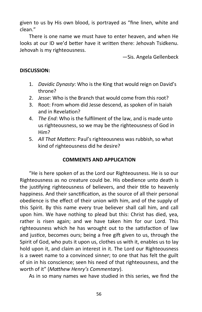given to us by His own blood, is portrayed as "fine linen, white and clean."

There is one name we must have to enter heaven, and when He looks at our ID we'd better have it written there: Jehovah Tsidkenu. Jehovah is my righteousness.

—Sis. Angela Gellenbeck

# **DISCUSSION:**

- 1. *Davidic Dynasty*: Who is the King that would reign on David's throne?
- 2. *Jesse*: Who is the Branch that would come from this root?
- 3. Root: From whom did Jesse descend, as spoken of in Isaiah and in Revelation?
- 4. *The End*: Who is the fulfilment of the law, and is made unto us righteousness, so we may be the righteousness of God in Him?
- 5. *All That Matters*: Paul's righteousness was rubbish, so what kind of righteousness did he desire?

# **COMMENTS AND APPLICATION**

"He is here spoken of as the Lord our Righteousness. He is so our Righteousness as no creature could be. His obedience unto death is the justifying righteousness of believers, and their title to heavenly happiness. And their sanctification, as the source of all their personal obedience is the effect of their union with him, and of the supply of this Spirit. By this name every true believer shall call him, and call upon him. We have nothing to plead but this: Christ has died, yea, rather is risen again; and we have taken him for our Lord. This righteousness which he has wrought out to the satisfaction of law and justice, becomes ours; being a free gift given to us, through the Spirit of God, who puts it upon us, clothes us with it, enables us to lay hold upon it, and claim an interest in it. The Lord our Righteousness is a sweet name to a convinced sinner; to one that has felt the guilt of sin in his conscience; seen his need of that righteousness, and the worth of it" (*Matthew Henry's Commentary*).

As in so many names we have studied in this series, we find the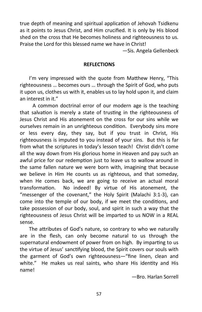true depth of meaning and spiritual application of Jehovah Tsidkenu as it points to Jesus Christ, and Him crucified. It is only by His blood shed on the cross that He becomes holiness and righteousness to us. Praise the Lord for this blessed name we have in Christ!

—Sis. Angela Gellenbeck

## **REFLECTIONS**

I'm very impressed with the quote from Matthew Henry, "This righteousness … becomes ours … through the Spirit of God, who puts it upon us, clothes us with it, enables us to lay hold upon it, and claim an interest in it."

 A common doctrinal error of our modern age is the teaching that salvation is merely a state of trusting in the righteousness of Jesus Christ and His atonement on the cross for our sins while we ourselves remain in an unrighteous condition. Everybody sins more or less every day, they say, but if you trust in Christ, His righteousness is imputed to you instead of your sins. But this is far from what the scriptures in today's lesson teach! Christ didn't come all the way down from His glorious home in Heaven and pay such an awful price for our redemption just to leave us to wallow around in the same fallen nature we were born with, imagining that because we believe in Him He counts us as righteous, and that someday, when He comes back, we are going to receive an actual moral transformation. No indeed! By virtue of His atonement, the "messenger of the covenant," the Holy Spirit (Malachi 3:1-3), can come into the temple of our body, if we meet the conditions, and take possession of our body, soul, and spirit in such a way that the righteousness of Jesus Christ will be imparted to us NOW in a REAL sense.

The attributes of God's nature, so contrary to who we naturally are in the flesh, can only become natural to us through the supernatural endowment of power from on high. By imparting to us the virtue of Jesus' sanctifying blood, the Spirit covers our souls with the garment of God's own righteousness—"fine linen, clean and white." He makes us real saints, who share His identity and His name!

—Bro. Harlan Sorrell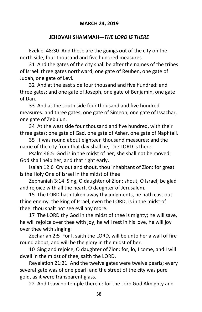## **JEHOVAH SHAMMAH—***THE LORD IS THERE*

Ezekiel 48:30 And these are the goings out of the city on the north side, four thousand and five hundred measures.

31 And the gates of the city shall be after the names of the tribes of Israel: three gates northward; one gate of Reuben, one gate of Judah, one gate of Levi.

32 And at the east side four thousand and five hundred: and three gates; and one gate of Joseph, one gate of Benjamin, one gate of Dan.

33 And at the south side four thousand and five hundred measures: and three gates; one gate of Simeon, one gate of Issachar, one gate of Zebulun.

34 At the west side four thousand and five hundred, with their three gates; one gate of Gad, one gate of Asher, one gate of Naphtali.

35 It was round about eighteen thousand measures: and the name of the city from that day shall be, The LORD is there.

Psalm 46:5 God is in the midst of her; she shall not be moved: God shall help her, and that right early.

Isaiah 12:6 Cry out and shout, thou inhabitant of Zion: for great is the Holy One of Israel in the midst of thee

Zephaniah 3:14 Sing, O daughter of Zion; shout, O Israel; be glad and rejoice with all the heart, O daughter of Jerusalem.

15 The LORD hath taken away thy judgments, he hath cast out thine enemy: the king of Israel, even the LORD, is in the midst of thee: thou shalt not see evil any more.

17 The LORD thy God in the midst of thee is mighty; he will save, he will rejoice over thee with joy; he will rest in his love, he will joy over thee with singing.

Zechariah 2:5 For I, saith the LORD, will be unto her a wall of fire round about, and will be the glory in the midst of her.

10 Sing and rejoice, O daughter of Zion: for, lo, I come, and I will dwell in the midst of thee, saith the LORD.

Revelation 21:21 And the twelve gates were twelve pearls; every several gate was of one pearl: and the street of the city was pure gold, as it were transparent glass.

22 And I saw no temple therein: for the Lord God Almighty and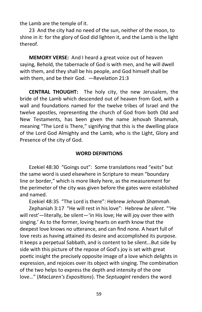the Lamb are the temple of it.

23 And the city had no need of the sun, neither of the moon, to shine in it: for the glory of God did lighten it, and the Lamb is the light thereof.

**MEMORY VERSE:** And I heard a great voice out of heaven saying, Behold, the tabernacle of God is with men, and he will dwell with them, and they shall be his people, and God himself shall be with them, and be their God. —Revelation 21:3

**CENTRAL THOUGHT:** The holy city, the new Jerusalem, the bride of the Lamb which descended out of heaven from God, with a wall and foundations named for the twelve tribes of Israel and the twelve apostles, representing the church of God from both Old and New Testaments, has been given the name Jehovah Shammah, meaning "The Lord is There," signifying that this is the dwelling place of the Lord God Almighty and the Lamb, who is the Light, Glory and Presence of the city of God.

### **WORD DEFINITIONS**

Ezekiel 48:30 "Goings out": Some translations read "exits" but the same word is used elsewhere in Scripture to mean "boundary line or border," which is more likely here, as the measurement for the perimeter of the city was given before the gates were established and named.

Ezekiel 48:35 "The Lord is there": Hebrew *Jehovah Shammah*.

Zephaniah 3:17 "He will rest in his love": Hebrew *be silent*. "'He will rest'—literally, be silent—'in His love; He will joy over thee with singing.' As to the former, loving hearts on earth know that the deepest love knows no utterance, and can find none. A heart full of love rests as having attained its desire and accomplished its purpose. It keeps a perpetual Sabbath, and is content to be silent...But side by side with this picture of the repose of God's joy is set with great poetic insight the precisely opposite image of a love which delights in expression, and rejoices over its object with singing. The combination of the two helps to express the depth and intensity of the one love…" (*MacLaren's Expositions*). The *Septuagint* renders the word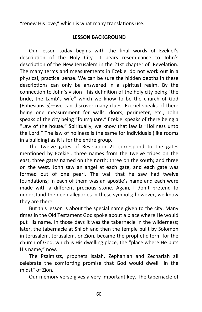"renew His love," which is what many translations use.

# **LESSON BACKGROUND**

Our lesson today begins with the final words of Ezekiel's description of the Holy City. It bears resemblance to John's description of the New Jerusalem in the 21st chapter of Revelation. The many terms and measurements in Ezekiel do not work out in a physical, practical sense. We can be sure the hidden depths in these descriptions can only be answered in a spiritual realm. By the connection to John's vision—his definition of the holy city being "the bride, the Lamb's wife" which we know to be the church of God (Ephesians 5)—we can discover many clues. Ezekiel speaks of there being one measurement for walls, doors, perimeter, etc.; John speaks of the city being "foursquare." Ezekiel speaks of there being a "Law of the house." Spiritually, we know that law is "Holiness unto the Lord." The law of holiness is the same for individuals (like rooms in a building) as it is for the entire group.

The twelve gates of Revelation 21 correspond to the gates mentioned by Ezekiel; three names from the twelve tribes on the east, three gates named on the north; three on the south; and three on the west. John saw an angel at each gate, and each gate was formed out of one pearl. The wall that he saw had twelve foundations; in each of them was an apostle's name and each were made with a different precious stone. Again, I don't pretend to understand the deep allegories in these symbols; however, we know they are there.

But this lesson is about the special name given to the city. Many times in the Old Testament God spoke about a place where He would put His name. In those days it was the tabernacle in the wilderness; later, the tabernacle at Shiloh and then the temple built by Solomon in Jerusalem. Jerusalem, or Zion, became the prophetic term for the church of God, which is His dwelling place, the "place where He puts His name," now.

The Psalmists, prophets Isaiah, Zephaniah and Zechariah all celebrate the comforting promise that God would dwell "in the midst" of Zion.

Our memory verse gives a very important key. The tabernacle of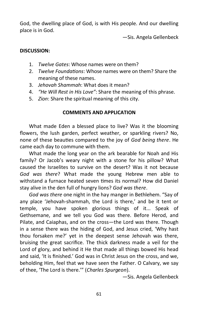God, the dwelling place of God, is with His people. And our dwelling place is in God.

—Sis. Angela Gellenbeck

# **DISCUSSION:**

- 1. *Twelve Gates*: Whose names were on them?
- 2. *Twelve Foundations*: Whose names were on them? Share the meaning of these names.
- 3. *Jehovah Shammah*: What does it mean?
- 4. *"He Will Rest in His Love"*: Share the meaning of this phrase.
- 5. *Zion*: Share the spiritual meaning of this city.

# **COMMENTS AND APPLICATION**

What made Eden a blessed place to live? Was it the blooming flowers, the lush garden, perfect weather, or sparkling rivers? No, none of these beauties compared to the joy of *God being there*. He came each day to commune with them.

What made the long year on the ark bearable for Noah and His family? Or Jacob's weary night with a stone for his pillow? What caused the Israelites to survive on the desert? Was it not because *God was there*? What made the young Hebrew men able to withstand a furnace heated seven times its normal? How did Daniel stay alive in the den full of hungry lions? *God was there*.

*God was there* one night in the hay manger in Bethlehem. "Say of any place 'Jehovah-shammah, the Lord is there,' and be it tent or temple, you have spoken glorious things of it... Speak of Gethsemane, and we tell you God was there. Before Herod, and Pilate, and Caiaphas, and on the cross—the Lord was there. Though in a sense there was the hiding of God, and Jesus cried, 'Why hast thou forsaken me?' yet in the deepest sense Jehovah was there, bruising the great sacrifice. The thick darkness made a veil for the Lord of glory, and behind it He that made all things bowed His head and said, 'It is finished.' God was in Christ Jesus on the cross, and we, beholding Him, feel that we have seen the Father. O Calvary, we say of thee, 'The Lord is there.'" (*Charles Spurgeon*).

—Sis. Angela Gellenbeck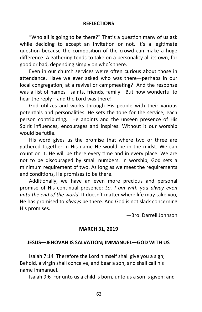### **REFLECTIONS**

"Who all is going to be there?" That's a question many of us ask while deciding to accept an invitation or not. It's a legitimate question because the composition of the crowd can make a huge difference. A gathering tends to take on a personality all its own, for good or bad, depending simply on who's there.

Even in our church services we're often curious about those in attendance. Have we ever asked who was there—perhaps in our local congregation, at a revival or campmeeting? And the response was a list of names—saints, friends, family. But how wonderful to hear the reply—and the Lord was there!

God utilizes and works through His people with their various potentials and personalities. He sets the tone for the service, each person contributing. He anoints and the unseen presence of His Spirit influences, encourages and inspires. Without it our worship would be futile.

His word gives us the promise that where two or three are gathered together in His name He would be in the midst. We can count on it; He will be there every time and in every place. We are not to be discouraged by small numbers. In worship, God sets a minimum requirement of two. As long as we meet the requirements and conditions, He promises to be there.

Additionally, we have an even more precious and personal promise of His continual presence: *Lo, I am with you alway even unto the end of the world*. It doesn't matter where life may take you, He has promised to *always* be there. And God is not slack concerning His promises.

—Bro. Darrell Johnson

#### **MARCH 31, 2019**

#### **JESUS—JEHOVAH IS SALVATION; IMMANUEL—GOD WITH US**

Isaiah 7:14 Therefore the Lord himself shall give you a sign; Behold, a virgin shall conceive, and bear a son, and shall call his name Immanuel.

Isaiah 9:6 For unto us a child is born, unto us a son is given: and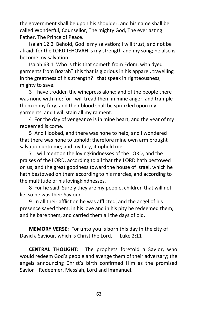the government shall be upon his shoulder: and his name shall be called Wonderful, Counsellor, The mighty God, The everlasting Father, The Prince of Peace.

Isaiah 12:2 Behold, God is my salvation; I will trust, and not be afraid: for the LORD JEHOVAH is my strength and my song; he also is become my salvation.

Isaiah 63:1 Who is this that cometh from Edom, with dyed garments from Bozrah? this that is glorious in his apparel, travelling in the greatness of his strength? I that speak in righteousness, mighty to save.

3 I have trodden the winepress alone; and of the people there was none with me: for I will tread them in mine anger, and trample them in my fury; and their blood shall be sprinkled upon my garments, and I will stain all my raiment.

4 For the day of vengeance is in mine heart, and the year of my redeemed is come.

5 And I looked, and there was none to help; and I wondered that there was none to uphold: therefore mine own arm brought salvation unto me; and my fury, it upheld me.

7 I will mention the lovingkindnesses of the LORD, and the praises of the LORD, according to all that the LORD hath bestowed on us, and the great goodness toward the house of Israel, which he hath bestowed on them according to his mercies, and according to the multitude of his lovingkindnesses.

8 For he said, Surely they are my people, children that will not lie: so he was their Saviour.

9 In all their affliction he was afflicted, and the angel of his presence saved them: in his love and in his pity he redeemed them; and he bare them, and carried them all the days of old.

**MEMORY VERSE:** For unto you is born this day in the city of David a Saviour, which is Christ the Lord. —Luke 2:11

**CENTRAL THOUGHT:** The prophets foretold a Savior, who would redeem God's people and avenge them of their adversary; the angels announcing Christ's birth confirmed Him as the promised Savior—Redeemer, Messiah, Lord and Immanuel.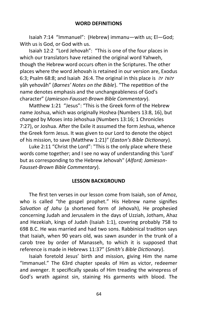Isaiah 7:14 "Immanuel": (Hebrew) immanu—with us; El—God; With us is God, or God with us.

Isaiah 12:2 "Lord Jehovah": "This is one of the four places in which our translators have retained the original word Yahweh, though the Hebrew word occurs often in the Scriptures. The other places where the word Jehovah is retained in our version are, Exodus 6:3; Psalm 68:8; and Isaiah 26:4. The original in this place is יהוה יה yâh yehovâh" (*Barnes' Notes on the Bible*). "The repetition of the name denotes emphasis and the unchangeableness of God's character" (*Jamieson-Fausset-Brown Bible Commentary*).

Matthew 1:21 "Jesus": "This is the Greek form of the Hebrew name Joshua, which was originally Hoshea (Numbers 13:8, 16), but changed by Moses into Jehoshua (Numbers 13:16; 1 Chronicles 7:27), or Joshua. After the Exile it assumed the form Jeshua, whence the Greek form Jesus. It was given to our Lord to denote the object of his mission, to save (Matthew 1:21)" (*Easton's Bible Dictionary*).

Luke 2:11 "Christ the Lord": "This is the only place where these words come together; and I see no way of understanding this 'Lord' but as corresponding to the Hebrew Jehovah" (*Alford; Jamieson-Fausset-Brown Bible Commentary*).

### **LESSON BACKGROUND**

The first ten verses in our lesson come from Isaiah, son of Amoz, who is called "the gospel prophet." His Hebrew name signifies *Salvation of Jahu* (a shortened form of Jehovah), He prophesied concerning Judah and Jerusalem in the days of Uzziah, Jotham, Ahaz and Hezekiah, kings of Judah (Isaiah 1:1), covering probably 758 to 698 B.C. He was married and had two sons. Rabbinical tradition says that Isaiah, when 90 years old, was sawn asunder in the trunk of a carob tree by order of Manasseh, to which it is supposed that reference is made in Hebrews 11:37" (*Smith's Bible Dictionary*).

Isaiah foretold Jesus' birth and mission, giving Him the name "Immanuel." The 63rd chapter speaks of Him as victor, redeemer and avenger. It specifically speaks of Him treading the winepress of God's wrath against sin, staining His garments with blood. The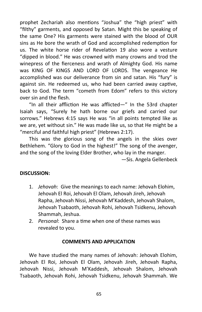prophet Zechariah also mentions "Joshua" the "high priest" with "filthy" garments, and opposed by Satan. Might this be speaking of the same One? His garments were stained with the blood of OUR sins as He bore the wrath of God and accomplished redemption for us. The white horse rider of Revelation 19 also wore a vesture "dipped in blood." He was crowned with many crowns and trod the winepress of the fierceness and wrath of Almighty God. His name was KING OF KINGS AND LORD OF LORDS. The vengeance He accomplished was our deliverance from sin and satan. His "fury" is against sin. He redeemed us, who had been carried away captive, back to God. The term "cometh from Edom" refers to this victory over sin and the flesh.

"In all their affliction He was afflicted—" In the 53rd chapter Isaiah says, "Surely he hath borne our griefs and carried our sorrows." Hebrews 4:15 says He was "in all points tempted like as we are, yet without sin." He was made like us, so that He might be a "merciful and faithful high priest" (Hebrews 2:17).

This was the glorious song of the angels in the skies over Bethlehem. "Glory to God in the highest!" The song of the avenger, and the song of the loving Elder Brother, who lay in the manger.

—Sis. Angela Gellenbeck

# **DISCUSSION:**

- 1. *Jehovah*: Give the meanings to each name: Jehovah Elohim, Jehovah El Roi, Jehovah El Olam, Jehovah Jireh, Jehovah Rapha, Jehovah Nissi, Jehovah M'Kaddesh, Jehovah Shalom, Jehovah Tsabaoth, Jehovah Rohi, Jehovah Tsidkenu, Jehovah Shammah, Jeshua.
- 2. *Personal*: Share a time when one of these names was revealed to you.

### **COMMENTS AND APPLICATION**

We have studied the many names of Jehovah: Jehovah Elohim, Jehovah El Roi, Jehovah El Olam, Jehovah Jireh, Jehovah Rapha, Jehovah Nissi, Jehovah M'Kaddesh, Jehovah Shalom, Jehovah Tsabaoth, Jehovah Rohi, Jehovah Tsidkenu, Jehovah Shammah. We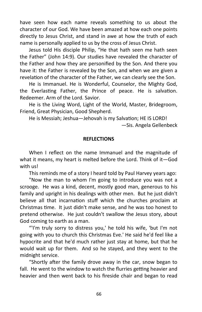have seen how each name reveals something to us about the character of our God. We have been amazed at how each one points directly to Jesus Christ, and stand in awe at how the truth of each name is personally applied to us by the cross of Jesus Christ.

Jesus told His disciple Philip, "He that hath seen me hath seen the Father" (John 14:9). Our studies have revealed the character of the Father and how they are personified by the Son. And there you have it: the Father is revealed by the Son, and when we are given a revelation of the character of the Father, we can clearly see the Son.

He is Immanuel. He is Wonderful, Counselor, the Mighty God, the Everlasting Father, the Prince of peace. He is salvation. Redeemer. Arm of the Lord. Savior.

He is the Living Word, Light of the World, Master, Bridegroom, Friend, Great Physician, Good Shepherd.

He is Messiah; Jeshua—Jehovah is my Salvation; HE IS LORD! —Sis. Angela Gellenbeck

## **REFLECTIONS**

When I reflect on the name Immanuel and the magnitude of what it means, my heart is melted before the Lord. Think of it—God with us!

This reminds me of a story I heard told by Paul Harvey years ago:

"Now the man to whom I'm going to introduce you was not a scrooge. He was a kind, decent, mostly good man, generous to his family and upright in his dealings with other men. But he just didn't believe all that incarnation stuff which the churches proclaim at Christmas time. It just didn't make sense, and he was too honest to pretend otherwise. He just couldn't swallow the Jesus story, about God coming to earth as a man.

"'I'm truly sorry to distress you,' he told his wife, 'but I'm not going with you to church this Christmas Eve.' He said he'd feel like a hypocrite and that he'd much rather just stay at home, but that he would wait up for them. And so he stayed, and they went to the midnight service.

"Shortly after the family drove away in the car, snow began to fall. He went to the window to watch the flurries getting heavier and heavier and then went back to his fireside chair and began to read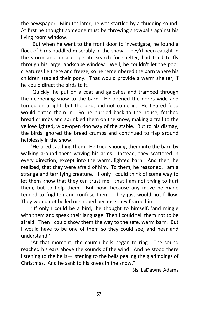the newspaper. Minutes later, he was startled by a thudding sound. At first he thought someone must be throwing snowballs against his living room window.

"But when he went to the front door to investigate, he found a flock of birds huddled miserably in the snow. They'd been caught in the storm and, in a desperate search for shelter, had tried to fly through his large landscape window. Well, he couldn't let the poor creatures lie there and freeze, so he remembered the barn where his children stabled their pony. That would provide a warm shelter, if he could direct the birds to it.

"Quickly, he put on a coat and galoshes and tramped through the deepening snow to the barn. He opened the doors wide and turned on a light, but the birds did not come in. He figured food would entice them in. So he hurried back to the house, fetched bread crumbs and sprinkled them on the snow, making a trail to the yellow-lighted, wide-open doorway of the stable. But to his dismay, the birds ignored the bread crumbs and continued to flap around helplessly in the snow.

"He tried catching them. He tried shooing them into the barn by walking around them waving his arms. Instead, they scattered in every direction, except into the warm, lighted barn. And then, he realized, that they were afraid of him. To them, he reasoned, I am a strange and terrifying creature. If only I could think of some way to let them know that they can trust me—that I am not trying to hurt them, but to help them. But how, because any move he made tended to frighten and confuse them. They just would not follow. They would not be led or shooed because they feared him.

"'If only I could be a bird,' he thought to himself, 'and mingle with them and speak their language. Then I could tell them not to be afraid. Then I could show them the way to the safe, warm barn. But I would have to be one of them so they could see, and hear and understand.'

"At that moment, the church bells began to ring. The sound reached his ears above the sounds of the wind. And he stood there listening to the bells—listening to the bells pealing the glad tidings of Christmas. And he sank to his knees in the snow."

—Sis. LaDawna Adams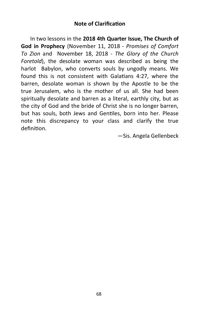# **Note of Clarification**

In two lessons in the **2018 4th Quarter Issue, The Church of God in Prophecy** (November 11, 2018 - *Promises of Comfort To Zion* and November 18, 2018 - *The Glory of the Church Foretold*), the desolate woman was described as being the harlot Babylon, who converts souls by ungodly means. We found this is not consistent with Galatians 4:27, where the barren, desolate woman is shown by the Apostle to be the true Jerusalem, who is the mother of us all. She had been spiritually desolate and barren as a literal, earthly city, but as the city of God and the bride of Christ she is no longer barren, but has souls, both Jews and Gentiles, born into her. Please note this discrepancy to your class and clarify the true definition.

—Sis. Angela Gellenbeck